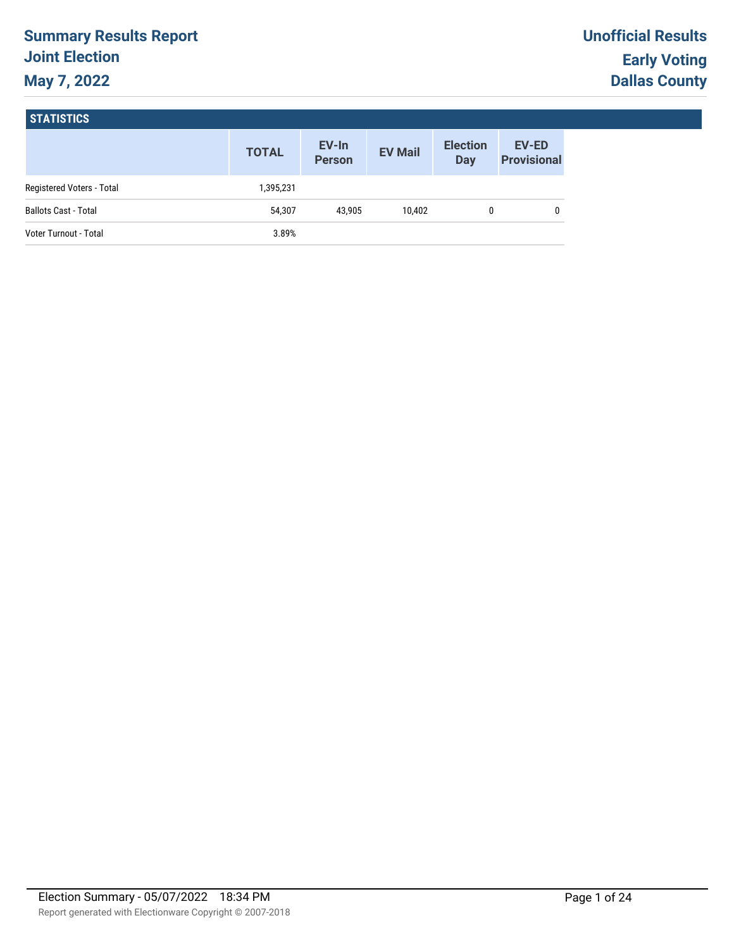# **Summary Results Report Joint Election May 7, 2022**

#### **STATISTICS**

|                              | <b>TOTAL</b> | EV-In<br><b>Person</b> | <b>EV Mail</b> | <b>Election</b><br>Day | <b>EV-ED</b><br><b>Provisional</b> |
|------------------------------|--------------|------------------------|----------------|------------------------|------------------------------------|
| Registered Voters - Total    | 1,395,231    |                        |                |                        |                                    |
| <b>Ballots Cast - Total</b>  | 54,307       | 43.905                 | 10.402         |                        | 0                                  |
| <b>Voter Turnout - Total</b> | 3.89%        |                        |                |                        |                                    |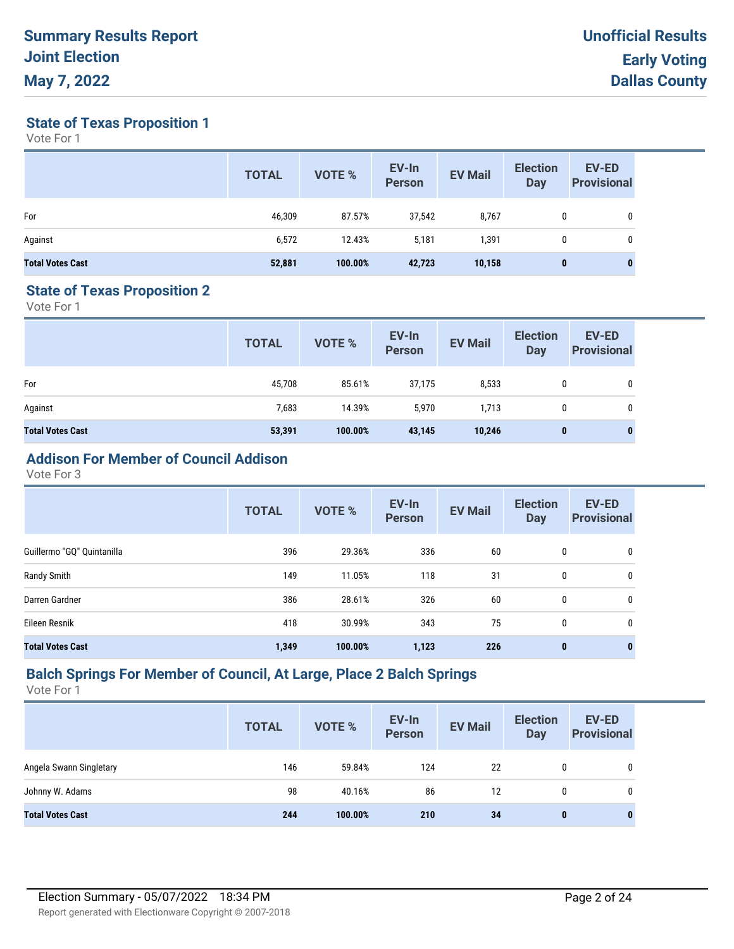**State of Texas Proposition 1**

Vote For 1

|                         | <b>TOTAL</b> | <b>VOTE %</b> | EV-In<br><b>Person</b> | <b>EV Mail</b> | <b>Election</b><br><b>Day</b> | <b>EV-ED</b><br><b>Provisional</b> |
|-------------------------|--------------|---------------|------------------------|----------------|-------------------------------|------------------------------------|
| For                     | 46,309       | 87.57%        | 37,542                 | 8,767          | 0                             | 0                                  |
| Against                 | 6,572        | 12.43%        | 5,181                  | 391,           | 0                             | 0                                  |
| <b>Total Votes Cast</b> | 52,881       | 100.00%       | 42,723                 | 10,158         | 0                             | 0                                  |

#### **State of Texas Proposition 2**

Vote For 1

|                         | <b>TOTAL</b> | VOTE %  | EV-In<br>Person | <b>EV Mail</b> | <b>Election</b><br>Day | <b>EV-ED</b><br><b>Provisional</b> |
|-------------------------|--------------|---------|-----------------|----------------|------------------------|------------------------------------|
| For                     | 45,708       | 85.61%  | 37,175          | 8,533          |                        | 0                                  |
| Against                 | 7,683        | 14.39%  | 5,970           | 1,713          |                        | 0                                  |
| <b>Total Votes Cast</b> | 53,391       | 100.00% | 43,145          | 10,246         | $\bf{0}$               | 0                                  |

# **Addison For Member of Council Addison**

Vote For 3

|                            | <b>TOTAL</b> | VOTE %  | EV-In<br><b>Person</b> | <b>EV Mail</b> | <b>Election</b><br><b>Day</b> | <b>EV-ED</b><br><b>Provisional</b> |
|----------------------------|--------------|---------|------------------------|----------------|-------------------------------|------------------------------------|
| Guillermo "GQ" Quintanilla | 396          | 29.36%  | 336                    | 60             | 0                             | 0                                  |
| Randy Smith                | 149          | 11.05%  | 118                    | 31             | 0                             | 0                                  |
| Darren Gardner             | 386          | 28.61%  | 326                    | 60             | 0                             | 0                                  |
| Eileen Resnik              | 418          | 30.99%  | 343                    | 75             | 0                             | 0                                  |
| <b>Total Votes Cast</b>    | 1,349        | 100.00% | 1,123                  | 226            | $\mathbf{0}$                  | $\bf{0}$                           |

## **Balch Springs For Member of Council, At Large, Place 2 Balch Springs**

|                         | <b>TOTAL</b> | VOTE %  | EV-In<br><b>Person</b> | <b>EV Mail</b> | <b>Election</b><br>Day | <b>EV-ED</b><br><b>Provisional</b> |
|-------------------------|--------------|---------|------------------------|----------------|------------------------|------------------------------------|
| Angela Swann Singletary | 146          | 59.84%  | 124                    | 22             | 0                      | 0                                  |
| Johnny W. Adams         | 98           | 40.16%  | 86                     | 12             | 0                      | 0                                  |
| <b>Total Votes Cast</b> | 244          | 100.00% | 210                    | 34             | 0                      | 0                                  |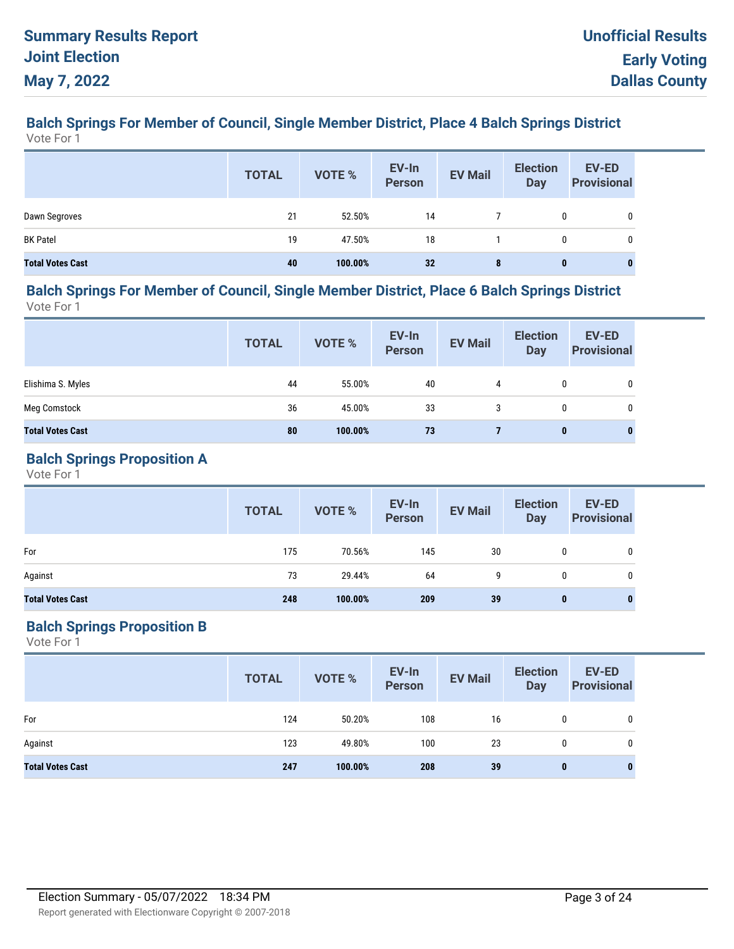#### **Balch Springs For Member of Council, Single Member District, Place 4 Balch Springs District** Vote For 1

|                         | <b>TOTAL</b> | <b>VOTE %</b> | EV-In<br>Person | <b>EV Mail</b> | <b>Election</b><br><b>Day</b> | <b>EV-ED</b><br><b>Provisional</b> |
|-------------------------|--------------|---------------|-----------------|----------------|-------------------------------|------------------------------------|
| Dawn Segroves           | 21           | 52.50%        | 14              |                | 0                             |                                    |
| <b>BK Patel</b>         | 19           | 47.50%        | 18              |                | 0                             | 0                                  |
| <b>Total Votes Cast</b> | 40           | 100.00%       | 32              | 8              | $\bf{0}$                      | $\bf{0}$                           |

#### **Balch Springs For Member of Council, Single Member District, Place 6 Balch Springs District** Vote For 1

**EV-In Person Election Day TOTAL EV Mail EV-ED Provisional EV-In**<br> **Provisional** EV Mail Day Provisional Elishima S. Myles 44 55.00% 40 4 0 0 Meg Comstock 36 45.00% 33 3 0 0 **Total Votes Cast 80 100.00% 73 7 0 0**

## **Balch Springs Proposition A**

Vote For 1

|                         | <b>TOTAL</b> | VOTE %  | EV-In<br>Person | <b>EV Mail</b> | <b>Election</b><br>Day | <b>EV-ED</b><br><b>Provisional</b> |
|-------------------------|--------------|---------|-----------------|----------------|------------------------|------------------------------------|
| For                     | 175          | 70.56%  | 145             | 30             |                        |                                    |
| Against                 | 73           | 29.44%  | 64              | 9              |                        | 0                                  |
| <b>Total Votes Cast</b> | 248          | 100.00% | 209             | 39             | $\mathbf{0}$           | $\bf{0}$                           |

## **Balch Springs Proposition B**

|                         | <b>TOTAL</b> | VOTE %  | EV-In<br>Person | <b>EV Mail</b> | <b>Election</b><br><b>Day</b> | <b>EV-ED</b><br><b>Provisional</b> |
|-------------------------|--------------|---------|-----------------|----------------|-------------------------------|------------------------------------|
| For                     | 124          | 50.20%  | 108             | 16             | 0                             | 0                                  |
| Against                 | 123          | 49.80%  | 100             | 23             | $\mathbf{0}$                  | 0                                  |
| <b>Total Votes Cast</b> | 247          | 100.00% | 208             | 39             | 0                             | 0                                  |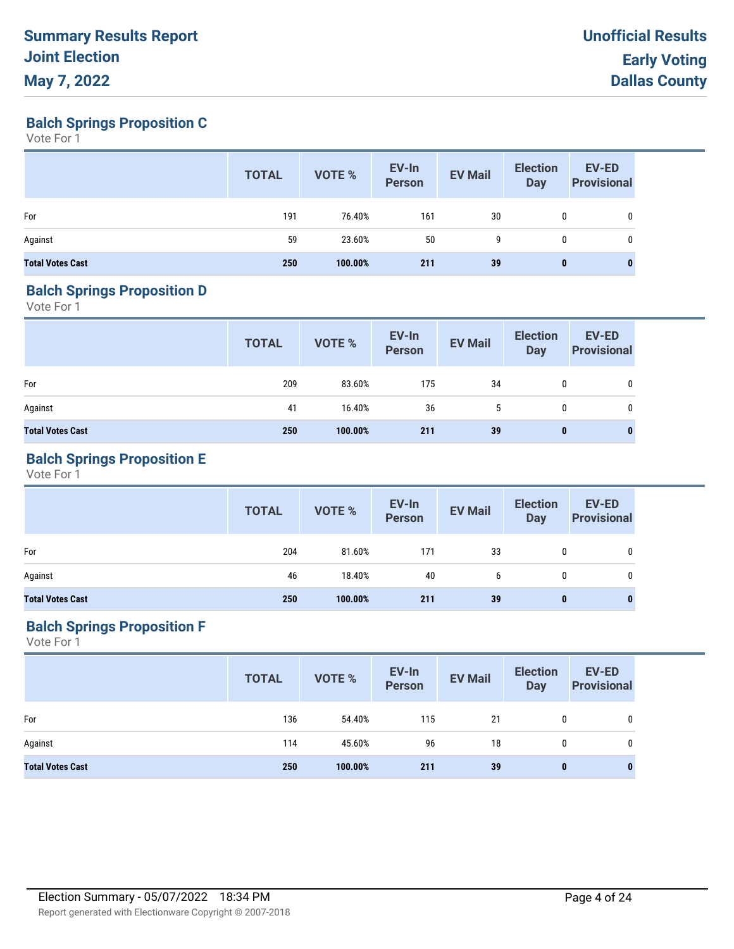**Balch Springs Proposition C**

Vote For 1

|                         | <b>TOTAL</b> | VOTE %  | EV-In<br>Person | <b>EV Mail</b> | <b>Election</b><br>Day | <b>EV-ED</b><br><b>Provisional</b> |
|-------------------------|--------------|---------|-----------------|----------------|------------------------|------------------------------------|
| For                     | 191          | 76.40%  | 161             | 30             | 0                      | 0                                  |
| Against                 | 59           | 23.60%  | 50              | 9              | 0                      | 0                                  |
| <b>Total Votes Cast</b> | 250          | 100.00% | 211             | 39             | $\bf{0}$               |                                    |

#### **Balch Springs Proposition D**

Vote For 1

|                         | <b>TOTAL</b> | VOTE %  | EV-In<br>Person | <b>EV Mail</b> | <b>Election</b><br>Day | <b>EV-ED</b><br><b>Provisional</b> |
|-------------------------|--------------|---------|-----------------|----------------|------------------------|------------------------------------|
| For                     | 209          | 83.60%  | 175             | 34             | 0                      | 0                                  |
| Against                 | 41           | 16.40%  | 36              | 5              | 0                      | 0                                  |
| <b>Total Votes Cast</b> | 250          | 100.00% | 211             | 39             | $\bf{0}$               | $\bf{0}$                           |

## **Balch Springs Proposition E**

Vote For 1

|                         | <b>TOTAL</b> | VOTE %  | EV-In<br>Person | <b>EV Mail</b> | <b>Election</b><br><b>Day</b> | <b>EV-ED</b><br><b>Provisional</b> |
|-------------------------|--------------|---------|-----------------|----------------|-------------------------------|------------------------------------|
| For                     | 204          | 81.60%  | 171             | 33             | 0                             | 0                                  |
| Against                 | 46           | 18.40%  | 40              | b              | $\mathbf{0}$                  | 0                                  |
| <b>Total Votes Cast</b> | 250          | 100.00% | 211             | 39             | 0                             | 0                                  |

## **Balch Springs Proposition F**

|                         | <b>TOTAL</b> | VOTE %  | EV-In<br>Person | <b>EV Mail</b> | <b>Election</b><br><b>Day</b> | <b>EV-ED</b><br><b>Provisional</b> |
|-------------------------|--------------|---------|-----------------|----------------|-------------------------------|------------------------------------|
| For                     | 136          | 54.40%  | 115             | 21             | 0                             | 0                                  |
| Against                 | 114          | 45.60%  | 96              | 18             | $\mathbf{0}$                  | 0                                  |
| <b>Total Votes Cast</b> | 250          | 100.00% | 211             | 39             | $\bf{0}$                      | $\bf{0}$                           |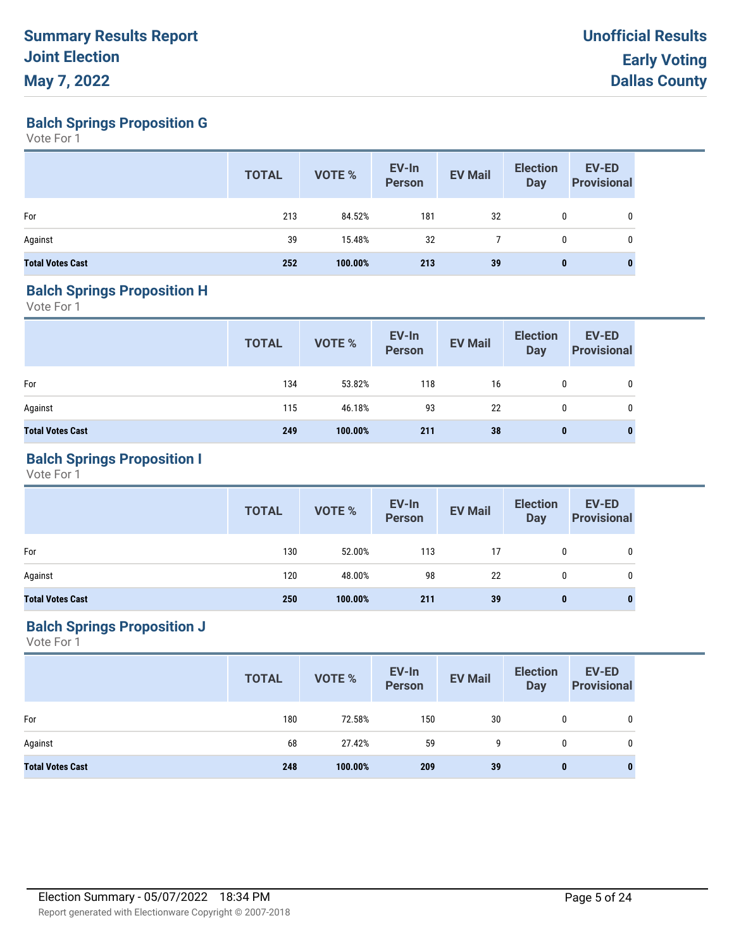**Balch Springs Proposition G**

Vote For 1

|                         | <b>TOTAL</b> | VOTE %  | EV-In<br><b>Person</b> | <b>EV Mail</b> | <b>Election</b><br><b>Day</b> | EV-ED<br><b>Provisional</b> |
|-------------------------|--------------|---------|------------------------|----------------|-------------------------------|-----------------------------|
| For                     | 213          | 84.52%  | 181                    | 32             | 0                             | 0                           |
| Against                 | 39           | 15.48%  | 32                     |                | 0                             | 0                           |
| <b>Total Votes Cast</b> | 252          | 100.00% | 213                    | 39             | 0                             | $\bf{0}$                    |

#### **Balch Springs Proposition H**

Vote For 1

|                         | <b>TOTAL</b> | VOTE %  | EV-In<br>Person | <b>EV Mail</b> | <b>Election</b><br><b>Day</b> | <b>EV-ED</b><br><b>Provisional</b> |
|-------------------------|--------------|---------|-----------------|----------------|-------------------------------|------------------------------------|
| For                     | 134          | 53.82%  | 118             | 16             | 0                             | 0                                  |
| Against                 | 115          | 46.18%  | 93              | 22             | 0                             | 0                                  |
| <b>Total Votes Cast</b> | 249          | 100.00% | 211             | 38             | $\bf{0}$                      | 0                                  |

## **Balch Springs Proposition I**

Vote For 1

|                         | <b>TOTAL</b> | VOTE %  | EV-In<br>Person | <b>EV Mail</b> | <b>Election</b><br><b>Day</b> | <b>EV-ED</b><br><b>Provisional</b> |
|-------------------------|--------------|---------|-----------------|----------------|-------------------------------|------------------------------------|
| For                     | 130          | 52.00%  | 113             | 17             | $\mathbf{0}$                  | 0                                  |
| Against                 | 120          | 48.00%  | 98              | 22             | 0                             | 0                                  |
| <b>Total Votes Cast</b> | 250          | 100.00% | 211             | 39             | $\bf{0}$                      |                                    |

## **Balch Springs Proposition J**

|                         | <b>TOTAL</b> | VOTE %  | EV-In<br>Person | <b>EV Mail</b> | <b>Election</b><br><b>Day</b> | <b>EV-ED</b><br><b>Provisional</b> |
|-------------------------|--------------|---------|-----------------|----------------|-------------------------------|------------------------------------|
| For                     | 180          | 72.58%  | 150             | 30             |                               | 0                                  |
| Against                 | 68           | 27.42%  | 59              | 9              | 0                             | 0                                  |
| <b>Total Votes Cast</b> | 248          | 100.00% | 209             | 39             | $\bf{0}$                      | 0                                  |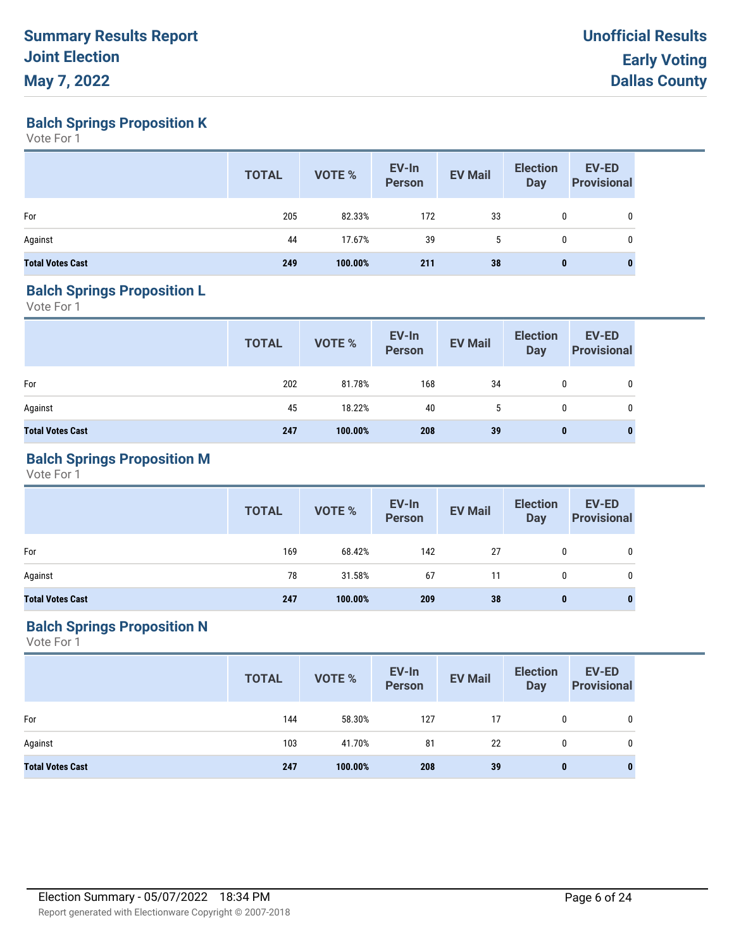**Balch Springs Proposition K**

Vote For 1

|                         | <b>TOTAL</b> | VOTE %  | EV-In<br>Person | <b>EV Mail</b> | <b>Election</b><br><b>Day</b> | EV-ED<br><b>Provisional</b> |
|-------------------------|--------------|---------|-----------------|----------------|-------------------------------|-----------------------------|
| For                     | 205          | 82.33%  | 172             | 33             | 0                             | 0                           |
| Against                 | 44           | 17.67%  | 39              | 5              | 0                             | 0                           |
| <b>Total Votes Cast</b> | 249          | 100.00% | 211             | 38             | 0                             | 0                           |

#### **Balch Springs Proposition L**

Vote For 1

|                         | <b>TOTAL</b> | VOTE %  | EV-In<br>Person | <b>EV Mail</b> | <b>Election</b><br>Day | <b>EV-ED</b><br><b>Provisional</b> |
|-------------------------|--------------|---------|-----------------|----------------|------------------------|------------------------------------|
| For                     | 202          | 81.78%  | 168             | 34             | 0                      | 0                                  |
| Against                 | 45           | 18.22%  | 40              | 5              | 0                      | 0                                  |
| <b>Total Votes Cast</b> | 247          | 100.00% | 208             | 39             | $\bf{0}$               | $\bf{0}$                           |

## **Balch Springs Proposition M**

Vote For 1

|                         | <b>TOTAL</b> | <b>VOTE %</b> | EV-In<br>Person | <b>EV Mail</b> | <b>Election</b><br>Day | <b>EV-ED</b><br><b>Provisional</b> |
|-------------------------|--------------|---------------|-----------------|----------------|------------------------|------------------------------------|
| For                     | 169          | 68.42%        | 142             | 27             | $\mathbf{0}$           | 0                                  |
| Against                 | 78           | 31.58%        | 67              | 11             | $\mathbf{0}$           | 0                                  |
| <b>Total Votes Cast</b> | 247          | 100.00%       | 209             | 38             | $\bf{0}$               | 0                                  |

## **Balch Springs Proposition N**

|                         | <b>TOTAL</b> | VOTE %  | EV-In<br>Person | <b>EV Mail</b> | <b>Election</b><br><b>Day</b> | <b>EV-ED</b><br><b>Provisional</b> |
|-------------------------|--------------|---------|-----------------|----------------|-------------------------------|------------------------------------|
| For                     | 144          | 58.30%  | 127             | 17             | 0                             | $\mathbf 0$                        |
| Against                 | 103          | 41.70%  | 81              | 22             | $\mathbf{0}$                  | 0                                  |
| <b>Total Votes Cast</b> | 247          | 100.00% | 208             | 39             | $\bf{0}$                      | 0                                  |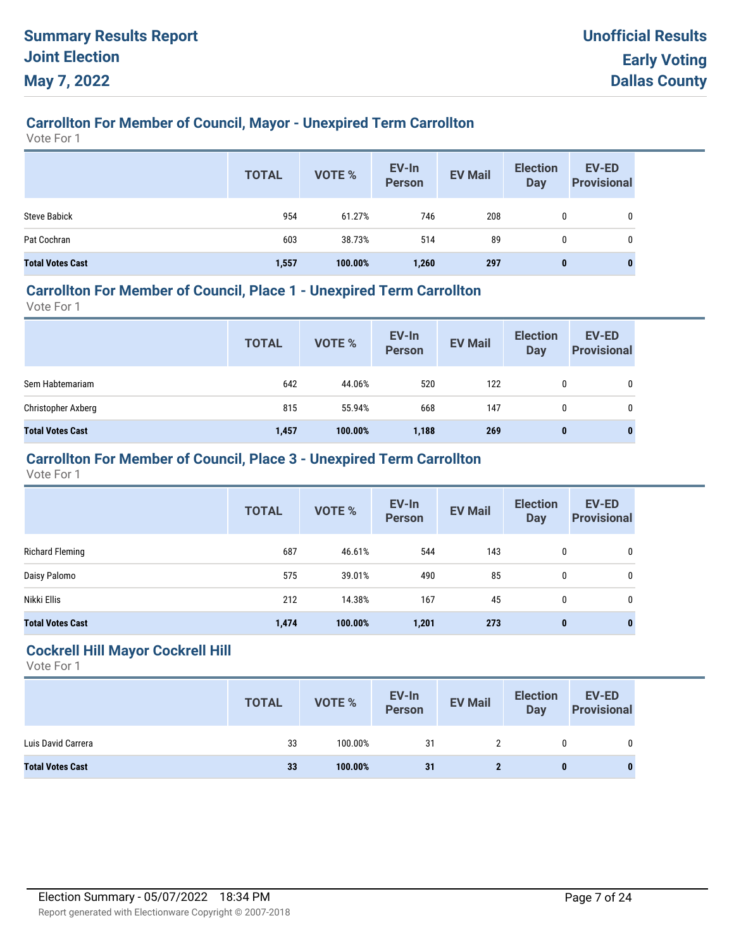# **Carrollton For Member of Council, Mayor - Unexpired Term Carrollton**

Vote For 1

|                         | <b>TOTAL</b> | <b>VOTE %</b> | EV-In<br><b>Person</b> | <b>EV Mail</b> | <b>Election</b><br><b>Day</b> | EV-ED<br><b>Provisional</b> |
|-------------------------|--------------|---------------|------------------------|----------------|-------------------------------|-----------------------------|
| <b>Steve Babick</b>     | 954          | 61.27%        | 746                    | 208            |                               | 0                           |
| Pat Cochran             | 603          | 38.73%        | 514                    | 89             | 0                             | 0                           |
| <b>Total Votes Cast</b> | 1,557        | 100.00%       | 1,260                  | 297            | 0                             | $\bf{0}$                    |

## **Carrollton For Member of Council, Place 1 - Unexpired Term Carrollton**

Vote For 1

|                         | <b>TOTAL</b> | VOTE %  | EV-In<br>Person | <b>EV Mail</b> | <b>Election</b><br>Day | <b>EV-ED</b><br><b>Provisional</b> |
|-------------------------|--------------|---------|-----------------|----------------|------------------------|------------------------------------|
| Sem Habtemariam         | 642          | 44.06%  | 520             | 122            | 0                      | 0                                  |
| Christopher Axberg      | 815          | 55.94%  | 668             | 147            | 0                      | 0                                  |
| <b>Total Votes Cast</b> | 1,457        | 100.00% | 1,188           | 269            | $\bf{0}$               | 0                                  |

## **Carrollton For Member of Council, Place 3 - Unexpired Term Carrollton**

Vote For 1

|                         | <b>TOTAL</b> | VOTE %  | EV-In<br><b>Person</b> | <b>EV Mail</b> | <b>Election</b><br><b>Day</b> | <b>EV-ED</b><br><b>Provisional</b> |
|-------------------------|--------------|---------|------------------------|----------------|-------------------------------|------------------------------------|
| <b>Richard Fleming</b>  | 687          | 46.61%  | 544                    | 143            | 0                             | 0                                  |
| Daisy Palomo            | 575          | 39.01%  | 490                    | 85             | 0                             | 0                                  |
| Nikki Ellis             | 212          | 14.38%  | 167                    | 45             | 0                             | 0                                  |
| <b>Total Votes Cast</b> | 1,474        | 100.00% | 1,201                  | 273            | $\mathbf{0}$                  | $\mathbf 0$                        |

#### **Cockrell Hill Mayor Cockrell Hill**

|                         | <b>TOTAL</b> | <b>VOTE %</b> | EV-In<br>Person | <b>EV Mail</b> | <b>Election</b><br><b>Day</b> | <b>EV-ED</b><br><b>Provisional</b> |
|-------------------------|--------------|---------------|-----------------|----------------|-------------------------------|------------------------------------|
| Luis David Carrera      | 33           | 100.00%       | 31              |                |                               |                                    |
| <b>Total Votes Cast</b> | 33           | 100.00%       | 31              |                | 0                             |                                    |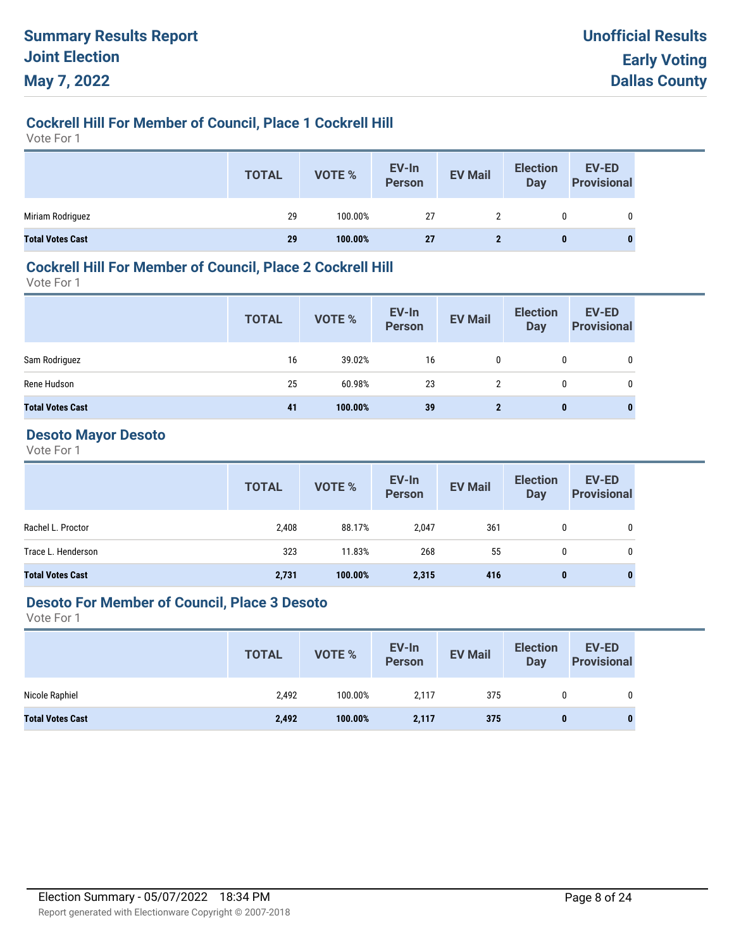## **Cockrell Hill For Member of Council, Place 1 Cockrell Hill**

Vote For 1

|                         | <b>TOTAL</b> | VOTE %  | EV-In<br>Person | <b>EV Mail</b> | <b>Election</b><br><b>Day</b> | <b>EV-ED</b><br><b>Provisional</b> |
|-------------------------|--------------|---------|-----------------|----------------|-------------------------------|------------------------------------|
| Miriam Rodriguez        | 29           | 100.00% | 27              |                | 0                             | $\mathbf{0}$                       |
| <b>Total Votes Cast</b> | 29           | 100.00% | <b>27</b>       |                | 0                             |                                    |

## **Cockrell Hill For Member of Council, Place 2 Cockrell Hill**

Vote For 1

|                         | <b>TOTAL</b> | <b>VOTE %</b> | EV-In<br>Person | <b>EV Mail</b> | <b>Election</b><br>Day | <b>EV-ED</b><br><b>Provisional</b> |
|-------------------------|--------------|---------------|-----------------|----------------|------------------------|------------------------------------|
| Sam Rodriguez           | 16           | 39.02%        | 16              | 0              | 0                      | 0                                  |
| Rene Hudson             | 25           | 60.98%        | 23              | 2              | 0                      | 0                                  |
| <b>Total Votes Cast</b> | 41           | 100.00%       | 39              | $\mathbf{2}$   | $\mathbf{0}$           | $\mathbf{0}$                       |

# **Desoto Mayor Desoto**

Vote For 1

|                         | <b>TOTAL</b> | VOTE %  | EV-In<br>Person | <b>EV Mail</b> | <b>Election</b><br>Day | EV-ED<br><b>Provisional</b> |
|-------------------------|--------------|---------|-----------------|----------------|------------------------|-----------------------------|
| Rachel L. Proctor       | 2,408        | 88.17%  | 2,047           | 361            | 0                      | 0                           |
| Trace L. Henderson      | 323          | 11.83%  | 268             | 55             | 0                      | 0                           |
| <b>Total Votes Cast</b> | 2,731        | 100.00% | 2,315           | 416            | 0                      | $\bf{0}$                    |

## **Desoto For Member of Council, Place 3 Desoto**

|                         | <b>TOTAL</b> | VOTE %  | EV-In<br>Person | <b>EV Mail</b> | <b>Election</b><br><b>Day</b> | <b>EV-ED</b><br><b>Provisional</b> |
|-------------------------|--------------|---------|-----------------|----------------|-------------------------------|------------------------------------|
| Nicole Raphiel          | 2,492        | 100.00% | 2,117           | 375            | 0                             |                                    |
| <b>Total Votes Cast</b> | 2,492        | 100.00% | 2,117           | 375            | 0                             |                                    |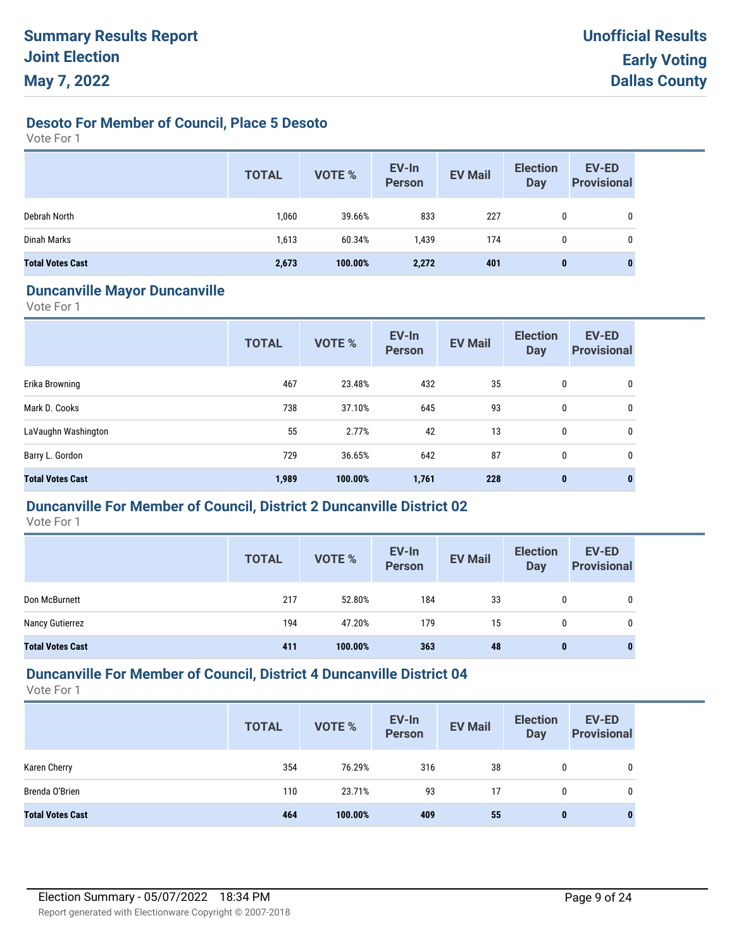## **Desoto For Member of Council, Place 5 Desoto**

Vote For 1

|                         | <b>TOTAL</b> | <b>VOTE %</b> | EV-In<br><b>Person</b> | <b>EV Mail</b> | <b>Election</b><br><b>Day</b> | <b>EV-ED</b><br><b>Provisional</b> |
|-------------------------|--------------|---------------|------------------------|----------------|-------------------------------|------------------------------------|
| Debrah North            | 1,060        | 39.66%        | 833                    | 227            | 0                             | 0                                  |
| Dinah Marks             | 1,613        | 60.34%        | 1,439                  | 174            | 0                             | 0                                  |
| <b>Total Votes Cast</b> | 2,673        | 100.00%       | 2,272                  | 401            | 0                             | 0                                  |

#### **Duncanville Mayor Duncanville**

Vote For 1

|                         | <b>TOTAL</b> | VOTE %  | EV-In<br><b>Person</b> | <b>EV Mail</b> | <b>Election</b><br><b>Day</b> | EV-ED<br><b>Provisional</b> |
|-------------------------|--------------|---------|------------------------|----------------|-------------------------------|-----------------------------|
| Erika Browning          | 467          | 23.48%  | 432                    | 35             | 0                             | 0                           |
| Mark D. Cooks           | 738          | 37.10%  | 645                    | 93             | 0                             | 0                           |
| LaVaughn Washington     | 55           | 2.77%   | 42                     | 13             | 0                             | 0                           |
| Barry L. Gordon         | 729          | 36.65%  | 642                    | 87             | 0                             | 0                           |
| <b>Total Votes Cast</b> | 1,989        | 100.00% | 1,761                  | 228            | $\bf{0}$                      | $\mathbf 0$                 |

## **Duncanville For Member of Council, District 2 Duncanville District 02**

Vote For 1

|                         | <b>TOTAL</b> | <b>VOTE %</b> | EV-In<br><b>Person</b> | <b>EV Mail</b> | <b>Election</b><br><b>Day</b> | <b>EV-ED</b><br><b>Provisional</b> |
|-------------------------|--------------|---------------|------------------------|----------------|-------------------------------|------------------------------------|
| Don McBurnett           | 217          | 52.80%        | 184                    | 33             | $\mathbf{0}$                  | 0                                  |
| Nancy Gutierrez         | 194          | 47.20%        | 179                    | 15             | 0                             | 0                                  |
| <b>Total Votes Cast</b> | 411          | 100.00%       | 363                    | 48             | 0                             | 0                                  |

## **Duncanville For Member of Council, District 4 Duncanville District 04**

|                         | <b>TOTAL</b> | <b>VOTE %</b> | EV-In<br><b>Person</b> | <b>EV Mail</b> | <b>Election</b><br><b>Day</b> | <b>EV-ED</b><br><b>Provisional</b> |
|-------------------------|--------------|---------------|------------------------|----------------|-------------------------------|------------------------------------|
| Karen Cherry            | 354          | 76.29%        | 316                    | 38             | 0                             | 0                                  |
| Brenda O'Brien          | 110          | 23.71%        | 93                     | 17             | 0                             | 0                                  |
| <b>Total Votes Cast</b> | 464          | 100.00%       | 409                    | 55             | 0                             | 0                                  |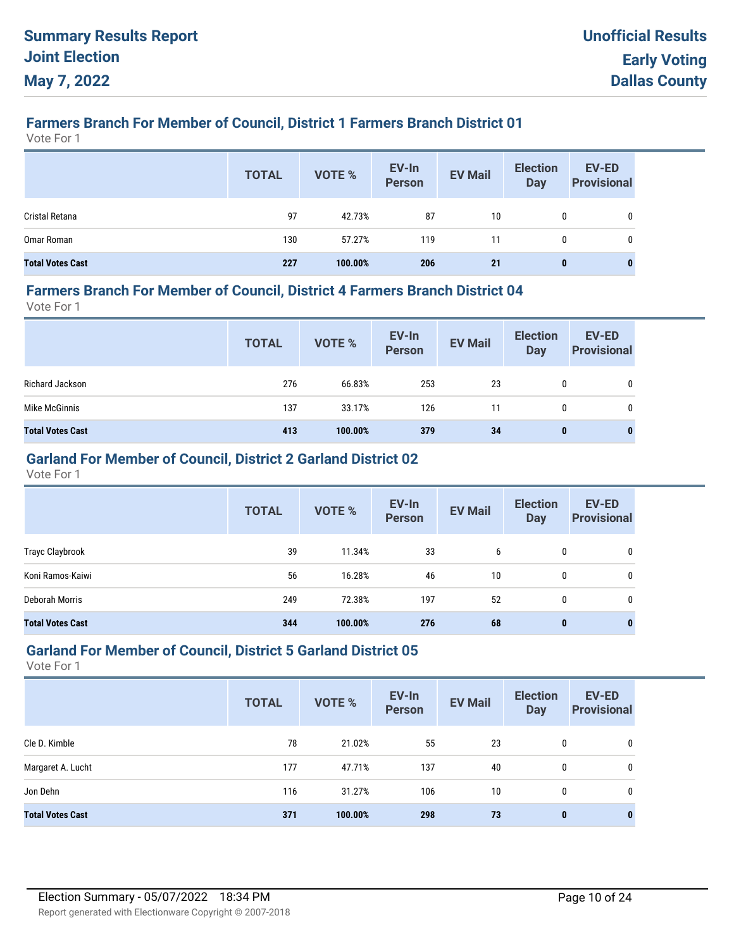# **Farmers Branch For Member of Council, District 1 Farmers Branch District 01**

Vote For 1

|                         | <b>TOTAL</b> | <b>VOTE %</b> | EV-In<br>Person | <b>EV Mail</b> | <b>Election</b><br><b>Day</b> | <b>EV-ED</b><br><b>Provisional</b> |
|-------------------------|--------------|---------------|-----------------|----------------|-------------------------------|------------------------------------|
| Cristal Retana          | 97           | 42.73%        | 87              | 10             | 0                             | 0                                  |
| Omar Roman              | 130          | 57.27%        | 119             | 11             | 0                             | 0                                  |
| <b>Total Votes Cast</b> | 227          | 100.00%       | 206             | 21             | $\mathbf{0}$                  | 0                                  |

#### **Farmers Branch For Member of Council, District 4 Farmers Branch District 04**

Vote For 1

|                         | <b>TOTAL</b> | VOTE %  | EV-In<br>Person | <b>EV Mail</b> | <b>Election</b><br>Day | <b>EV-ED</b><br><b>Provisional</b> |
|-------------------------|--------------|---------|-----------------|----------------|------------------------|------------------------------------|
| Richard Jackson         | 276          | 66.83%  | 253             | 23             | 0                      | 0                                  |
| Mike McGinnis           | 137          | 33.17%  | 126             | 11             | 0                      | 0                                  |
| <b>Total Votes Cast</b> | 413          | 100.00% | 379             | 34             | $\bf{0}$               | 0                                  |

## **Garland For Member of Council, District 2 Garland District 02**

Vote For 1

|                         | <b>TOTAL</b> | <b>VOTE %</b> | EV-In<br><b>Person</b> | <b>EV Mail</b> | <b>Election</b><br><b>Day</b> | <b>EV-ED</b><br><b>Provisional</b> |
|-------------------------|--------------|---------------|------------------------|----------------|-------------------------------|------------------------------------|
| Trayc Claybrook         | 39           | 11.34%        | 33                     | 6              | 0                             | 0                                  |
| Koni Ramos-Kaiwi        | 56           | 16.28%        | 46                     | 10             | 0                             | 0                                  |
| Deborah Morris          | 249          | 72.38%        | 197                    | 52             | 0                             | 0                                  |
| <b>Total Votes Cast</b> | 344          | 100.00%       | 276                    | 68             | $\bf{0}$                      | 0                                  |

#### **Garland For Member of Council, District 5 Garland District 05**

|                         | <b>TOTAL</b> | <b>VOTE %</b> | EV-In<br><b>Person</b> | <b>EV Mail</b> | <b>Election</b><br><b>Day</b> | <b>EV-ED</b><br><b>Provisional</b> |
|-------------------------|--------------|---------------|------------------------|----------------|-------------------------------|------------------------------------|
| Cle D. Kimble           | 78           | 21.02%        | 55                     | 23             | 0                             | 0                                  |
| Margaret A. Lucht       | 177          | 47.71%        | 137                    | 40             | $\mathbf 0$                   | 0                                  |
| Jon Dehn                | 116          | 31.27%        | 106                    | 10             | $\mathbf{0}$                  | 0                                  |
| <b>Total Votes Cast</b> | 371          | 100.00%       | 298                    | 73             | $\mathbf{0}$                  | $\bf{0}$                           |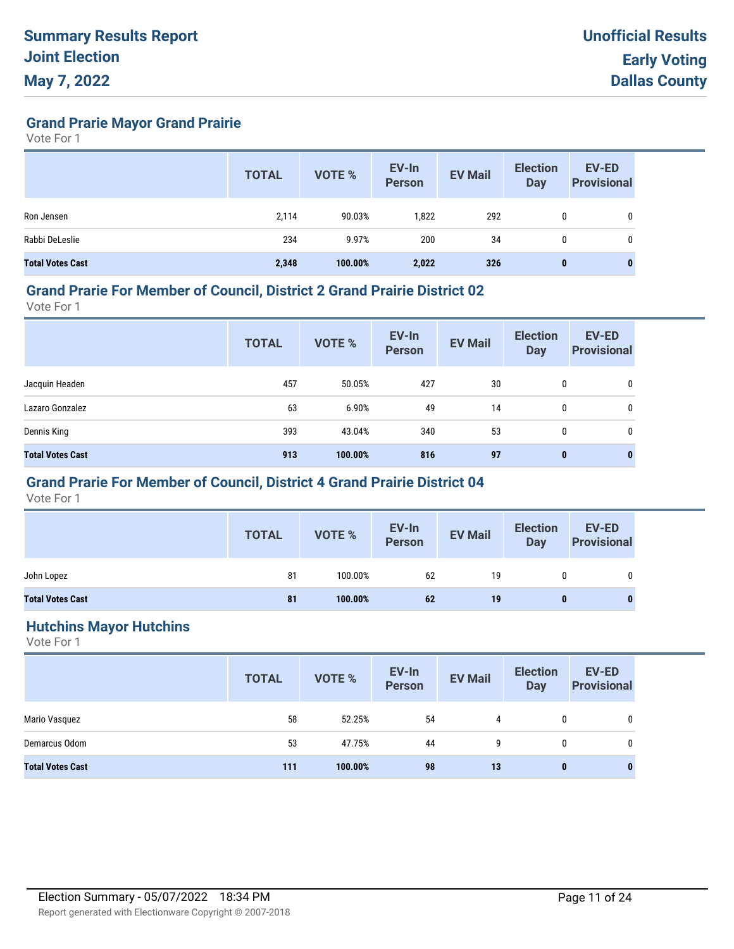**Grand Prarie Mayor Grand Prairie**

Vote For 1

|                         | <b>TOTAL</b> | <b>VOTE %</b> | EV-In<br><b>Person</b> | <b>EV Mail</b> | <b>Election</b><br><b>Day</b> | <b>EV-ED</b><br><b>Provisional</b> |
|-------------------------|--------------|---------------|------------------------|----------------|-------------------------------|------------------------------------|
| Ron Jensen              | 2,114        | 90.03%        | 1,822                  | 292            | 0                             | 0                                  |
| Rabbi DeLeslie          | 234          | 9.97%         | 200                    | 34             | 0                             | 0                                  |
| <b>Total Votes Cast</b> | 2,348        | 100.00%       | 2,022                  | 326            | 0                             | 0                                  |

#### **Grand Prarie For Member of Council, District 2 Grand Prairie District 02**

Vote For 1

|                         | <b>TOTAL</b> | <b>VOTE %</b> | EV-In<br><b>Person</b> | <b>EV Mail</b> | <b>Election</b><br><b>Day</b> | <b>EV-ED</b><br><b>Provisional</b> |
|-------------------------|--------------|---------------|------------------------|----------------|-------------------------------|------------------------------------|
| Jacquin Headen          | 457          | 50.05%        | 427                    | 30             | 0                             | 0                                  |
| Lazaro Gonzalez         | 63           | 6.90%         | 49                     | 14             | 0                             | 0                                  |
| Dennis King             | 393          | 43.04%        | 340                    | 53             | $\mathbf{0}$                  | 0                                  |
| <b>Total Votes Cast</b> | 913          | 100.00%       | 816                    | 97             | $\mathbf{0}$                  | $\bf{0}$                           |

## **Grand Prarie For Member of Council, District 4 Grand Prairie District 04**

Vote For 1

|                         | <b>TOTAL</b> | VOTE %  | EV-In<br>Person | <b>EV Mail</b> | <b>Election</b><br>Day | EV-ED<br><b>Provisional</b> |
|-------------------------|--------------|---------|-----------------|----------------|------------------------|-----------------------------|
| John Lopez              | 81           | 100.00% | 62              | 19             |                        | 0                           |
| <b>Total Votes Cast</b> | 81           | 100.00% | 62              | 19             |                        | 0                           |

#### **Hutchins Mayor Hutchins**

|                         | <b>TOTAL</b> | <b>VOTE %</b> | EV-In<br>Person | <b>EV Mail</b> | <b>Election</b><br><b>Day</b> | <b>EV-ED</b><br><b>Provisional</b> |
|-------------------------|--------------|---------------|-----------------|----------------|-------------------------------|------------------------------------|
| Mario Vasquez           | 58           | 52.25%        | 54              | 4              | $\mathbf{0}$                  | 0                                  |
| Demarcus Odom           | 53           | 47.75%        | 44              | 9              | 0                             | 0                                  |
| <b>Total Votes Cast</b> | 111          | 100.00%       | 98              | 13             | 0                             | 0                                  |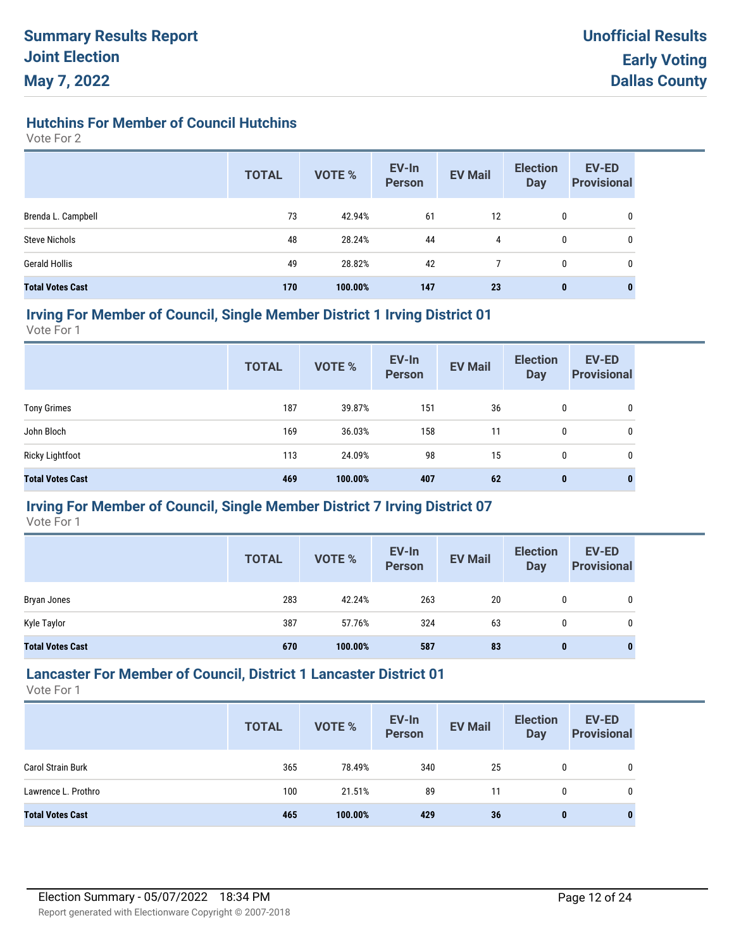# **Hutchins For Member of Council Hutchins**

Vote For 2

|                         | <b>TOTAL</b> | <b>VOTE %</b> | EV-In<br><b>Person</b> | <b>EV Mail</b> | <b>Election</b><br>Day | <b>EV-ED</b><br><b>Provisional</b> |
|-------------------------|--------------|---------------|------------------------|----------------|------------------------|------------------------------------|
| Brenda L. Campbell      | 73           | 42.94%        | 61                     | 12             | 0                      | 0                                  |
| <b>Steve Nichols</b>    | 48           | 28.24%        | 44                     | 4              | 0                      | 0                                  |
| Gerald Hollis           | 49           | 28.82%        | 42                     |                | 0                      | 0                                  |
| <b>Total Votes Cast</b> | 170          | 100.00%       | 147                    | 23             | 0                      | 0                                  |

#### **Irving For Member of Council, Single Member District 1 Irving District 01**

Vote For 1

|                         | <b>TOTAL</b> | <b>VOTE %</b> | EV-In<br><b>Person</b> | <b>EV Mail</b> | <b>Election</b><br>Day | <b>EV-ED</b><br><b>Provisional</b> |
|-------------------------|--------------|---------------|------------------------|----------------|------------------------|------------------------------------|
| <b>Tony Grimes</b>      | 187          | 39.87%        | 151                    | 36             | 0                      | 0                                  |
| John Bloch              | 169          | 36.03%        | 158                    | 11             | 0                      | 0                                  |
| <b>Ricky Lightfoot</b>  | 113          | 24.09%        | 98                     | 15             | 0                      | 0                                  |
| <b>Total Votes Cast</b> | 469          | 100.00%       | 407                    | 62             | $\mathbf 0$            | $\bf{0}$                           |

## **Irving For Member of Council, Single Member District 7 Irving District 07**

Vote For 1

|                         | <b>TOTAL</b> | <b>VOTE %</b> | EV-In<br><b>Person</b> | <b>EV Mail</b> | <b>Election</b><br><b>Day</b> | EV-ED<br><b>Provisional</b> |
|-------------------------|--------------|---------------|------------------------|----------------|-------------------------------|-----------------------------|
| Bryan Jones             | 283          | 42.24%        | 263                    | 20             | 0                             | 0                           |
| Kyle Taylor             | 387          | 57.76%        | 324                    | 63             | 0                             | 0                           |
| <b>Total Votes Cast</b> | 670          | 100.00%       | 587                    | 83             | 0                             | $\mathbf{0}$                |

## **Lancaster For Member of Council, District 1 Lancaster District 01**

|                          | <b>TOTAL</b> | <b>VOTE %</b> | EV-In<br><b>Person</b> | <b>EV Mail</b> | <b>Election</b><br>Day | <b>EV-ED</b><br><b>Provisional</b> |
|--------------------------|--------------|---------------|------------------------|----------------|------------------------|------------------------------------|
| <b>Carol Strain Burk</b> | 365          | 78.49%        | 340                    | 25             | 0                      | 0                                  |
| Lawrence L. Prothro      | 100          | 21.51%        | 89                     | 11             | 0                      | 0                                  |
| <b>Total Votes Cast</b>  | 465          | 100.00%       | 429                    | 36             | $\bf{0}$               | 0                                  |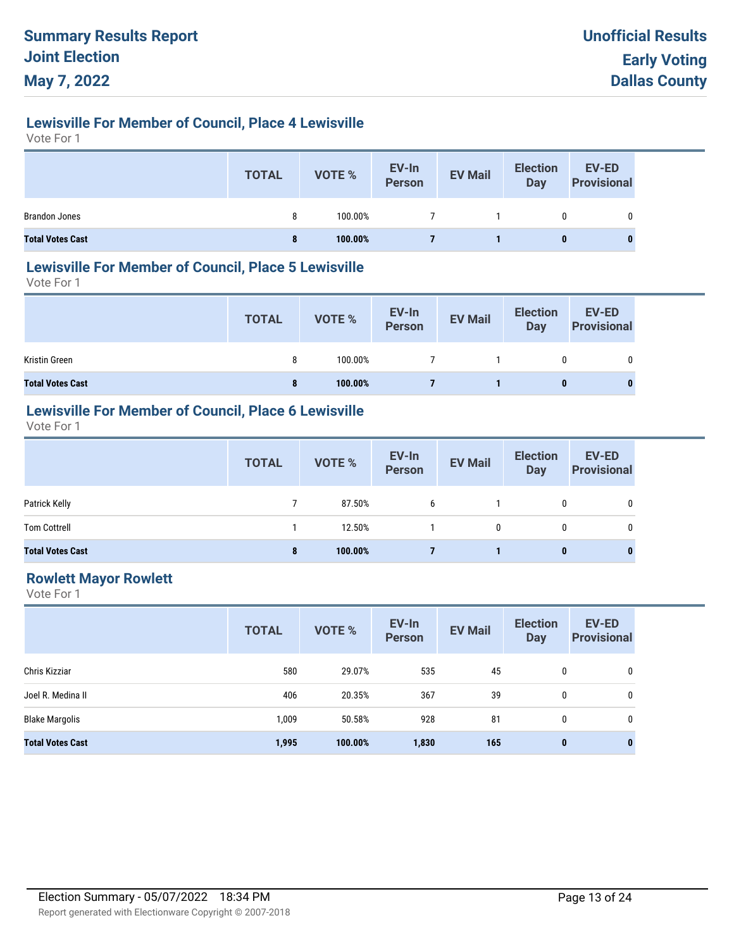## **Lewisville For Member of Council, Place 4 Lewisville**

Vote For 1

|                         | <b>TOTAL</b> | <b>VOTE %</b> | EV-In<br>Person | <b>EV Mail</b> | <b>Election</b><br><b>Day</b> | <b>EV-ED</b><br><b>Provisional</b> |
|-------------------------|--------------|---------------|-----------------|----------------|-------------------------------|------------------------------------|
| <b>Brandon Jones</b>    | 8            | 100.00%       |                 |                | 0                             | 0                                  |
| <b>Total Votes Cast</b> | 8            | 100.00%       |                 |                | 0                             |                                    |

## **Lewisville For Member of Council, Place 5 Lewisville**

Vote For 1

|                         | <b>TOTAL</b> | VOTE %  | EV-In<br>Person | <b>EV Mail</b> | <b>Election</b><br><b>Day</b> | EV-ED<br><b>Provisional</b> |
|-------------------------|--------------|---------|-----------------|----------------|-------------------------------|-----------------------------|
| Kristin Green           | 8            | 100.00% |                 |                |                               | 0                           |
| <b>Total Votes Cast</b> | 8            | 100.00% |                 |                | 0                             | O                           |

# **Lewisville For Member of Council, Place 6 Lewisville**

Vote For 1

|                         | <b>TOTAL</b> | VOTE %  | EV-In<br>Person | <b>EV Mail</b> | <b>Election</b><br><b>Day</b> | <b>EV-ED</b><br><b>Provisional</b> |
|-------------------------|--------------|---------|-----------------|----------------|-------------------------------|------------------------------------|
| Patrick Kelly           |              | 87.50%  | 6               |                | 0                             | 0                                  |
| <b>Tom Cottrell</b>     |              | 12.50%  |                 | 0              |                               |                                    |
| <b>Total Votes Cast</b> | 8            | 100.00% |                 |                | 0                             | $\bf{0}$                           |

## **Rowlett Mayor Rowlett**

|                         | <b>TOTAL</b> | <b>VOTE %</b> | EV-In<br><b>Person</b> | <b>EV Mail</b> | <b>Election</b><br><b>Day</b> | EV-ED<br><b>Provisional</b> |
|-------------------------|--------------|---------------|------------------------|----------------|-------------------------------|-----------------------------|
| Chris Kizziar           | 580          | 29.07%        | 535                    | 45             | 0                             | 0                           |
| Joel R. Medina II       | 406          | 20.35%        | 367                    | 39             | 0                             | 0                           |
| <b>Blake Margolis</b>   | 1,009        | 50.58%        | 928                    | 81             | 0                             | 0                           |
| <b>Total Votes Cast</b> | 1,995        | 100.00%       | 1,830                  | 165            | $\mathbf{0}$                  | 0                           |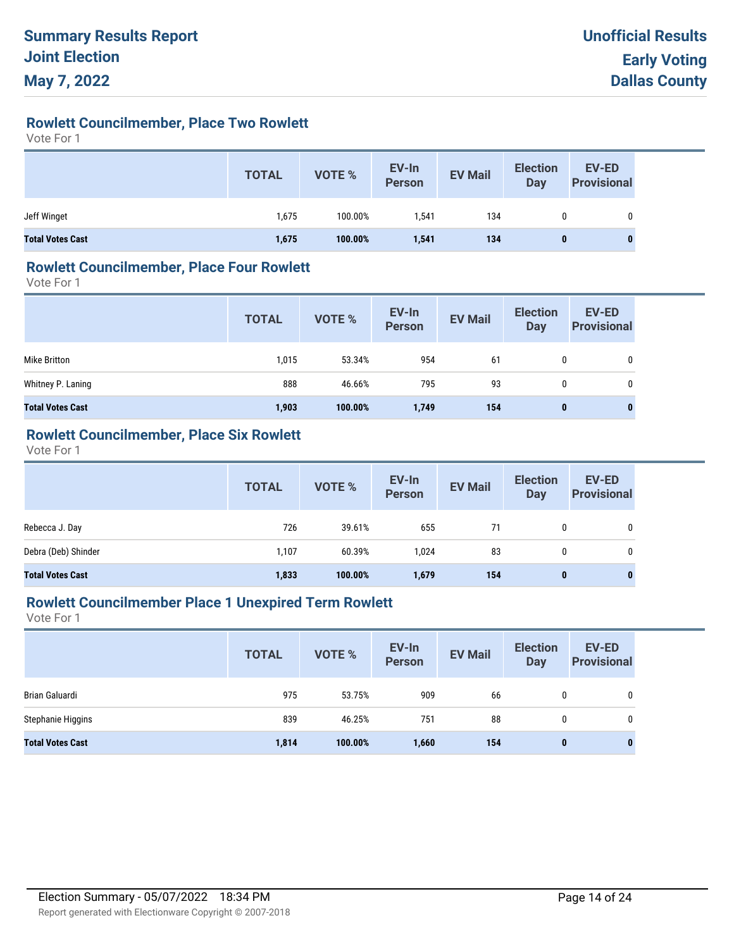# **Rowlett Councilmember, Place Two Rowlett**

Vote For 1

|                         | <b>TOTAL</b> | VOTE %  | EV-In<br>Person | <b>EV Mail</b> | <b>Election</b><br><b>Day</b> | <b>EV-ED</b><br><b>Provisional</b> |
|-------------------------|--------------|---------|-----------------|----------------|-------------------------------|------------------------------------|
| Jeff Winget             | 1,675        | 100.00% | 1.541           | 134            |                               | 0                                  |
| <b>Total Votes Cast</b> | 1,675        | 100.00% | 1,541           | 134            | 0                             | $\bf{0}$                           |

## **Rowlett Councilmember, Place Four Rowlett**

Vote For 1

|                         | <b>TOTAL</b> | <b>VOTE %</b> | EV-In<br>Person | <b>EV Mail</b> | <b>Election</b><br>Day | <b>EV-ED</b><br><b>Provisional</b> |
|-------------------------|--------------|---------------|-----------------|----------------|------------------------|------------------------------------|
| Mike Britton            | 1,015        | 53.34%        | 954             | 61             | 0                      | $\mathbf 0$                        |
| Whitney P. Laning       | 888          | 46.66%        | 795             | 93             | 0                      | 0                                  |
| <b>Total Votes Cast</b> | 1,903        | 100.00%       | 1,749           | 154            | $\mathbf{0}$           | 0                                  |

## **Rowlett Councilmember, Place Six Rowlett**

Vote For 1

|                         | <b>TOTAL</b> | VOTE %  | EV-In<br>Person | <b>EV Mail</b> | <b>Election</b><br><b>Day</b> | EV-ED<br><b>Provisional</b> |
|-------------------------|--------------|---------|-----------------|----------------|-------------------------------|-----------------------------|
| Rebecca J. Day          | 726          | 39.61%  | 655             | 71             | 0                             | 0                           |
| Debra (Deb) Shinder     | 1.107        | 60.39%  | 1.024           | 83             | 0                             | 0                           |
| <b>Total Votes Cast</b> | 1,833        | 100.00% | 1,679           | 154            | 0                             | $\bf{0}$                    |

## **Rowlett Councilmember Place 1 Unexpired Term Rowlett**

|                         | <b>TOTAL</b> | <b>VOTE %</b> | EV-In<br><b>Person</b> | <b>EV Mail</b> | <b>Election</b><br>Day | EV-ED<br><b>Provisional</b> |
|-------------------------|--------------|---------------|------------------------|----------------|------------------------|-----------------------------|
| Brian Galuardi          | 975          | 53.75%        | 909                    | 66             | 0                      | 0                           |
| Stephanie Higgins       | 839          | 46.25%        | 751                    | 88             | 0                      | 0                           |
| <b>Total Votes Cast</b> | 1,814        | 100.00%       | 1,660                  | 154            | $\mathbf{0}$           | 0                           |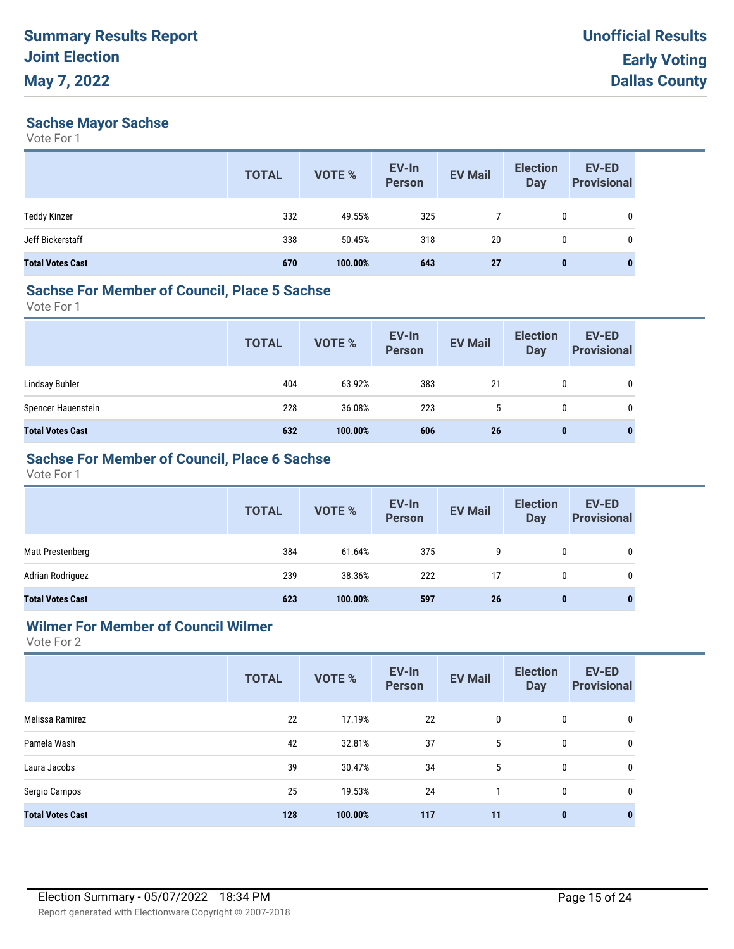## **Sachse Mayor Sachse**

Vote For 1

|                         | <b>TOTAL</b> | <b>VOTE %</b> | EV-In<br><b>Person</b> | <b>EV Mail</b> | <b>Election</b><br><b>Day</b> | <b>EV-ED</b><br><b>Provisional</b> |
|-------------------------|--------------|---------------|------------------------|----------------|-------------------------------|------------------------------------|
| <b>Teddy Kinzer</b>     | 332          | 49.55%        | 325                    |                | 0                             | 0                                  |
| Jeff Bickerstaff        | 338          | 50.45%        | 318                    | 20             | 0                             | 0                                  |
| <b>Total Votes Cast</b> | 670          | 100.00%       | 643                    | 27             | $\bf{0}$                      | 0                                  |

## **Sachse For Member of Council, Place 5 Sachse**

Vote For 1

|                         | <b>TOTAL</b> | VOTE %  | EV-In<br>Person | <b>EV Mail</b> | <b>Election</b><br><b>Day</b> | EV-ED<br><b>Provisional</b> |
|-------------------------|--------------|---------|-----------------|----------------|-------------------------------|-----------------------------|
| Lindsay Buhler          | 404          | 63.92%  | 383             | 21             | 0                             | $\mathbf 0$                 |
| Spencer Hauenstein      | 228          | 36.08%  | 223             | b.             | 0                             | 0                           |
| <b>Total Votes Cast</b> | 632          | 100.00% | 606             | 26             | 0                             | $\bf{0}$                    |

## **Sachse For Member of Council, Place 6 Sachse**

Vote For 1

|                         | <b>TOTAL</b> | VOTE %  | EV-In<br>Person | <b>EV Mail</b> | <b>Election</b><br>Day | <b>EV-ED</b><br><b>Provisional</b> |
|-------------------------|--------------|---------|-----------------|----------------|------------------------|------------------------------------|
| Matt Prestenberg        | 384          | 61.64%  | 375             | 9              | 0                      | 0                                  |
| Adrian Rodriguez        | 239          | 38.36%  | 222             | 17             | 0                      |                                    |
| <b>Total Votes Cast</b> | 623          | 100.00% | 597             | 26             | 0                      |                                    |

## **Wilmer For Member of Council Wilmer**

|                         | <b>TOTAL</b> | <b>VOTE %</b> | EV-In<br><b>Person</b> | <b>EV Mail</b> | <b>Election</b><br><b>Day</b> | <b>EV-ED</b><br><b>Provisional</b> |
|-------------------------|--------------|---------------|------------------------|----------------|-------------------------------|------------------------------------|
| Melissa Ramirez         | 22           | 17.19%        | 22                     | 0              | 0                             | 0                                  |
| Pamela Wash             | 42           | 32.81%        | 37                     | 5              | 0                             | 0                                  |
| Laura Jacobs            | 39           | 30.47%        | 34                     | 5              | 0                             | 0                                  |
| Sergio Campos           | 25           | 19.53%        | 24                     |                | $\mathbf 0$                   | 0                                  |
| <b>Total Votes Cast</b> | 128          | 100.00%       | 117                    | 11             | $\pmb{0}$                     | $\bf{0}$                           |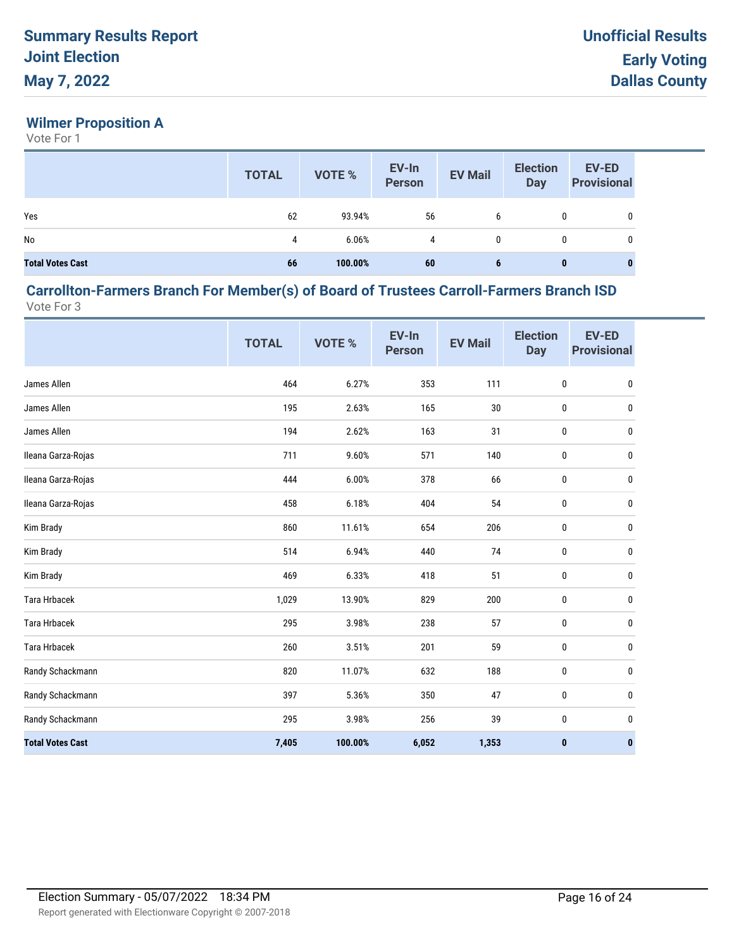## **Wilmer Proposition A**

Vote For 1

|                         | <b>TOTAL</b> | <b>VOTE %</b> | EV-In<br>Person | <b>EV Mail</b> | <b>Election</b><br>Day | <b>EV-ED</b><br><b>Provisional</b> |
|-------------------------|--------------|---------------|-----------------|----------------|------------------------|------------------------------------|
| Yes                     | 62           | 93.94%        | 56              | 6              | 0                      |                                    |
| No                      | 4            | 6.06%         | 4               | 0              | 0                      |                                    |
| <b>Total Votes Cast</b> | 66           | 100.00%       | 60              | 6              | 0                      | $\bf{0}$                           |

#### **Carrollton-Farmers Branch For Member(s) of Board of Trustees Carroll-Farmers Branch ISD** Vote For 3

|                         | <b>TOTAL</b> | VOTE %  | EV-In<br><b>Person</b> | <b>EV Mail</b> | <b>Election</b><br><b>Day</b> | <b>EV-ED</b><br><b>Provisional</b> |
|-------------------------|--------------|---------|------------------------|----------------|-------------------------------|------------------------------------|
| James Allen             | 464          | 6.27%   | 353                    | 111            | $\pmb{0}$                     | 0                                  |
| James Allen             | 195          | 2.63%   | 165                    | $30\,$         | $\pmb{0}$                     | 0                                  |
| James Allen             | 194          | 2.62%   | 163                    | 31             | $\pmb{0}$                     | 0                                  |
| Ileana Garza-Rojas      | 711          | 9.60%   | 571                    | 140            | 0                             | 0                                  |
| Ileana Garza-Rojas      | 444          | 6.00%   | 378                    | 66             | $\pmb{0}$                     | 0                                  |
| Ileana Garza-Rojas      | 458          | 6.18%   | 404                    | 54             | $\pmb{0}$                     | 0                                  |
| Kim Brady               | 860          | 11.61%  | 654                    | 206            | 0                             | 0                                  |
| Kim Brady               | 514          | 6.94%   | 440                    | 74             | 0                             | 0                                  |
| Kim Brady               | 469          | 6.33%   | 418                    | 51             | $\pmb{0}$                     | 0                                  |
| Tara Hrbacek            | 1,029        | 13.90%  | 829                    | 200            | 0                             | 0                                  |
| <b>Tara Hrbacek</b>     | 295          | 3.98%   | 238                    | 57             | 0                             | 0                                  |
| Tara Hrbacek            | 260          | 3.51%   | 201                    | 59             | $\pmb{0}$                     | 0                                  |
| Randy Schackmann        | 820          | 11.07%  | 632                    | 188            | 0                             | 0                                  |
| Randy Schackmann        | 397          | 5.36%   | 350                    | 47             | $\pmb{0}$                     | 0                                  |
| Randy Schackmann        | 295          | 3.98%   | 256                    | 39             | 0                             | 0                                  |
| <b>Total Votes Cast</b> | 7,405        | 100.00% | 6,052                  | 1,353          | $\pmb{0}$                     | 0                                  |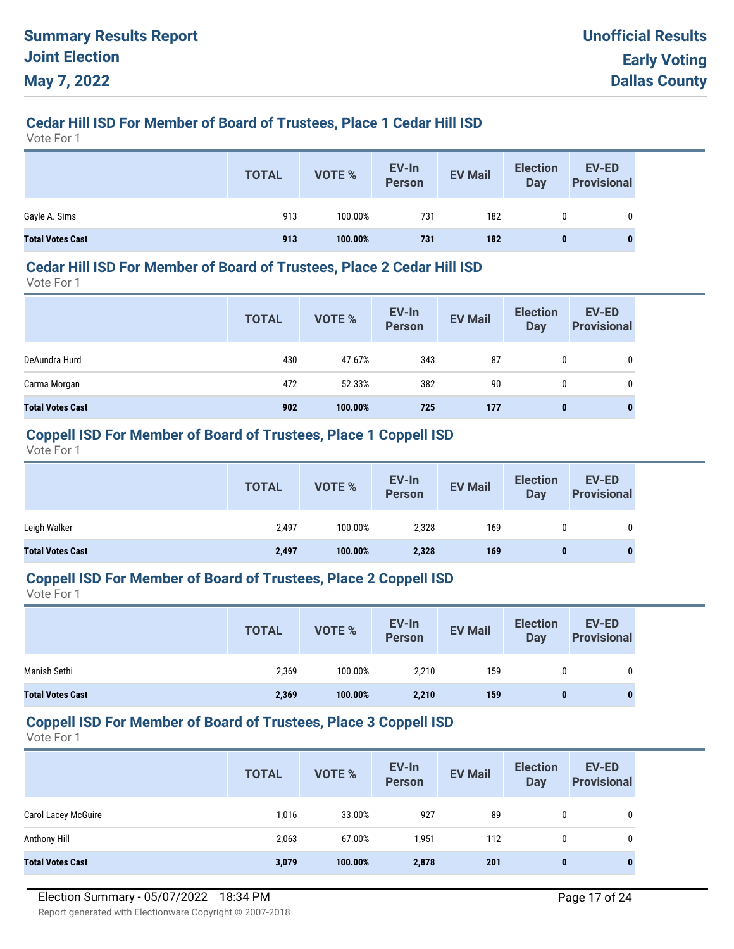## **Cedar Hill ISD For Member of Board of Trustees, Place 1 Cedar Hill ISD**

Vote For 1

|                         | <b>TOTAL</b> | VOTE %  | EV-In<br>Person | <b>EV Mail</b> | <b>Election</b><br><b>Day</b> | <b>EV-ED</b><br><b>Provisional</b> |
|-------------------------|--------------|---------|-----------------|----------------|-------------------------------|------------------------------------|
| Gayle A. Sims           | 913          | 100.00% | 731             | 182            |                               |                                    |
| <b>Total Votes Cast</b> | 913          | 100.00% | 731             | 182            | 0                             | 0                                  |

#### **Cedar Hill ISD For Member of Board of Trustees, Place 2 Cedar Hill ISD**

Vote For 1

|                         | <b>TOTAL</b> | <b>VOTE %</b> | EV-In<br><b>Person</b> | <b>EV Mail</b> | <b>Election</b><br><b>Day</b> | EV-ED<br><b>Provisional</b> |
|-------------------------|--------------|---------------|------------------------|----------------|-------------------------------|-----------------------------|
| DeAundra Hurd           | 430          | 47.67%        | 343                    | 87             | 0                             |                             |
| Carma Morgan            | 472          | 52.33%        | 382                    | 90             | 0                             |                             |
| <b>Total Votes Cast</b> | 902          | 100.00%       | 725                    | 177            | 0                             |                             |

#### **Coppell ISD For Member of Board of Trustees, Place 1 Coppell ISD**

Vote For 1

|                         | <b>TOTAL</b> | VOTE %  | EV-In<br><b>Person</b> | <b>EV Mail</b> | <b>Election</b><br>Day | EV-ED<br><b>Provisional</b> |
|-------------------------|--------------|---------|------------------------|----------------|------------------------|-----------------------------|
| Leigh Walker            | 2,497        | 100.00% | 2,328                  | 169            |                        | 0                           |
| <b>Total Votes Cast</b> | 2,497        | 100.00% | 2,328                  | 169            | 0                      | $\bf{0}$                    |

#### **Coppell ISD For Member of Board of Trustees, Place 2 Coppell ISD**

Vote For 1

|                         | <b>TOTAL</b> | <b>VOTE %</b> | EV-In<br><b>Person</b> | <b>EV Mail</b> | <b>Election</b><br>Day | <b>EV-ED</b><br><b>Provisional</b> |
|-------------------------|--------------|---------------|------------------------|----------------|------------------------|------------------------------------|
| Manish Sethi            | 2,369        | 100.00%       | 2,210                  | 159            |                        | 0                                  |
| <b>Total Votes Cast</b> | 2,369        | 100.00%       | 2,210                  | 159            | 0                      | $\mathbf{0}$                       |

#### **Coppell ISD For Member of Board of Trustees, Place 3 Coppell ISD**

|                            | <b>TOTAL</b> | <b>VOTE %</b> | EV-In<br><b>Person</b> | <b>EV Mail</b> | <b>Election</b><br>Day | EV-ED<br><b>Provisional</b> |
|----------------------------|--------------|---------------|------------------------|----------------|------------------------|-----------------------------|
| <b>Carol Lacey McGuire</b> | 1,016        | 33.00%        | 927                    | 89             | 0                      | 0                           |
| Anthony Hill               | 2,063        | 67.00%        | 1,951                  | 112            | 0                      | 0                           |
| <b>Total Votes Cast</b>    | 3,079        | 100.00%       | 2,878                  | 201            | $\bf{0}$               | $\bf{0}$                    |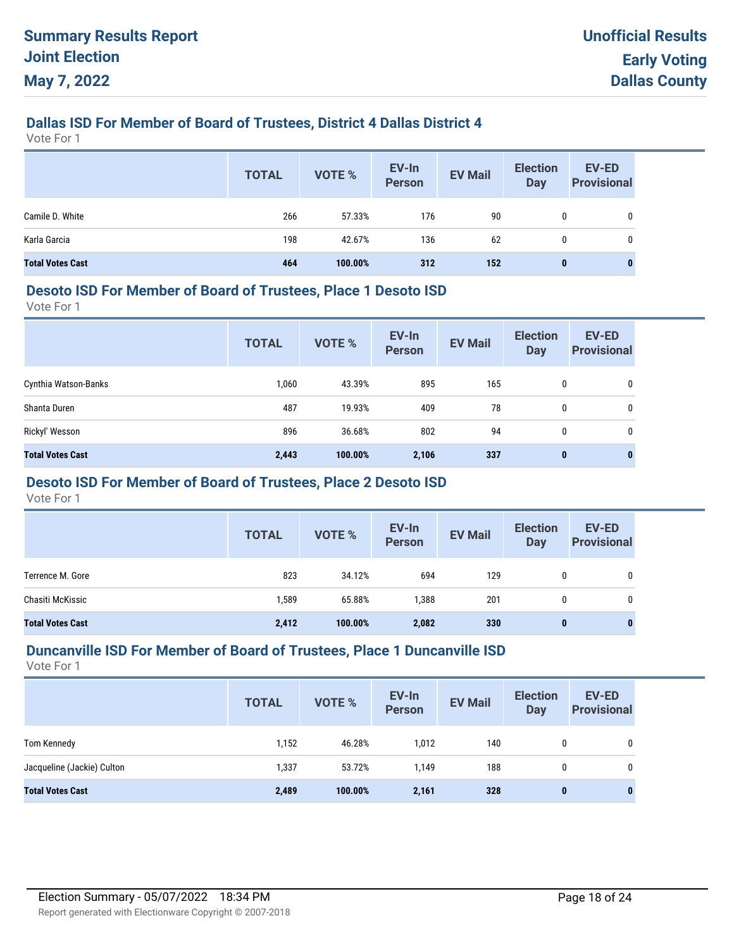## **Dallas ISD For Member of Board of Trustees, District 4 Dallas District 4**

Vote For 1

|                         | <b>TOTAL</b> | VOTE %  | EV-In<br>Person | <b>EV Mail</b> | <b>Election</b><br><b>Day</b> | EV-ED<br><b>Provisional</b> |
|-------------------------|--------------|---------|-----------------|----------------|-------------------------------|-----------------------------|
| Camile D. White         | 266          | 57.33%  | 176             | 90             | 0                             | 0                           |
| Karla Garcia            | 198          | 42.67%  | 136             | 62             | $\mathbf{0}$                  | 0                           |
| <b>Total Votes Cast</b> | 464          | 100.00% | 312             | 152            | $\bf{0}$                      | 0                           |

#### **Desoto ISD For Member of Board of Trustees, Place 1 Desoto ISD**

Vote For 1

|                         | <b>TOTAL</b> | <b>VOTE %</b> | EV-In<br><b>Person</b> | <b>EV Mail</b> | <b>Election</b><br><b>Day</b> | <b>EV-ED</b><br><b>Provisional</b> |
|-------------------------|--------------|---------------|------------------------|----------------|-------------------------------|------------------------------------|
| Cynthia Watson-Banks    | 1,060        | 43.39%        | 895                    | 165            | 0                             | 0                                  |
| Shanta Duren            | 487          | 19.93%        | 409                    | 78             | 0                             | 0                                  |
| Rickyl' Wesson          | 896          | 36.68%        | 802                    | 94             | 0                             | 0                                  |
| <b>Total Votes Cast</b> | 2,443        | 100.00%       | 2,106                  | 337            | $\mathbf{0}$                  | $\bf{0}$                           |

## **Desoto ISD For Member of Board of Trustees, Place 2 Desoto ISD**

Vote For 1

|                         | <b>TOTAL</b> | <b>VOTE %</b> | EV-In<br><b>Person</b> | <b>EV Mail</b> | <b>Election</b><br><b>Day</b> | EV-ED<br><b>Provisional</b> |
|-------------------------|--------------|---------------|------------------------|----------------|-------------------------------|-----------------------------|
| Terrence M. Gore        | 823          | 34.12%        | 694                    | 129            | 0                             | 0                           |
| Chasiti McKissic        | 1,589        | 65.88%        | 1,388                  | 201            | 0                             | 0                           |
| <b>Total Votes Cast</b> | 2,412        | 100.00%       | 2,082                  | 330            | 0                             | $\mathbf{0}$                |

#### **Duncanville ISD For Member of Board of Trustees, Place 1 Duncanville ISD**

|                            | <b>TOTAL</b> | <b>VOTE %</b> | EV-In<br>Person | <b>EV Mail</b> | <b>Election</b><br>Day | <b>EV-ED</b><br><b>Provisional</b> |
|----------------------------|--------------|---------------|-----------------|----------------|------------------------|------------------------------------|
| Tom Kennedy                | 1,152        | 46.28%        | 1,012           | 140            | 0                      | 0                                  |
| Jacqueline (Jackie) Culton | 1,337        | 53.72%        | 1,149           | 188            | 0                      | 0                                  |
| <b>Total Votes Cast</b>    | 2,489        | 100.00%       | 2,161           | 328            | 0                      | 0                                  |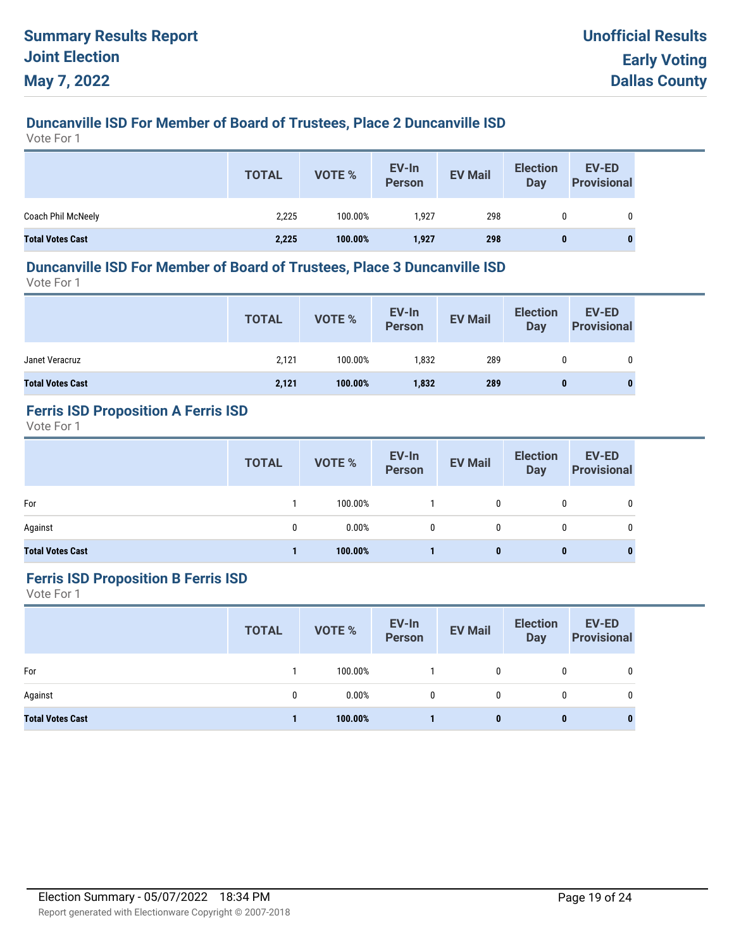# **Duncanville ISD For Member of Board of Trustees, Place 2 Duncanville ISD**

Vote For 1

|                         | <b>TOTAL</b> | VOTE %  | EV-In<br>Person | <b>EV Mail</b> | <b>Election</b><br><b>Dav</b> | <b>EV-ED</b><br><b>Provisional</b> |
|-------------------------|--------------|---------|-----------------|----------------|-------------------------------|------------------------------------|
| Coach Phil McNeely      | 2,225        | 100.00% | 1,927           | 298            | 0                             | 0                                  |
| <b>Total Votes Cast</b> | 2,225        | 100.00% | 1,927           | 298            | $\bf{0}$                      | 0                                  |

## **Duncanville ISD For Member of Board of Trustees, Place 3 Duncanville ISD**

Vote For 1

|                         | <b>TOTAL</b> | VOTE %  | EV-In<br>Person | <b>EV Mail</b> | <b>Election</b><br><b>Day</b> | EV-ED<br><b>Provisional</b> |
|-------------------------|--------------|---------|-----------------|----------------|-------------------------------|-----------------------------|
| Janet Veracruz          | 2,121        | 100.00% | 1,832           | 289            | 0                             | 0                           |
| <b>Total Votes Cast</b> | 2,121        | 100.00% | 1,832           | 289            | 0                             |                             |

# **Ferris ISD Proposition A Ferris ISD**

Vote For 1

|                         | <b>TOTAL</b> | VOTE %  | EV-In<br>Person | <b>EV Mail</b> | <b>Election</b><br>Day | <b>EV-ED</b><br><b>Provisional</b> |
|-------------------------|--------------|---------|-----------------|----------------|------------------------|------------------------------------|
| For                     |              | 100.00% |                 | 0              | 0                      | 0                                  |
| Against                 | 0            | 0.00%   | $\mathbf{0}$    | 0              | 0                      | 0                                  |
| <b>Total Votes Cast</b> |              | 100.00% |                 | 0              | 0                      | 0                                  |

#### **Ferris ISD Proposition B Ferris ISD**

|                         | <b>TOTAL</b> | <b>VOTE %</b> | EV-In<br>Person | <b>EV Mail</b> | <b>Election</b><br><b>Day</b> | EV-ED<br><b>Provisional</b> |
|-------------------------|--------------|---------------|-----------------|----------------|-------------------------------|-----------------------------|
| For                     |              | 100.00%       |                 | $\mathbf{0}$   | 0                             | 0                           |
| Against                 | 0            | 0.00%         | 0               | 0              | 0                             | 0                           |
| <b>Total Votes Cast</b> |              | 100.00%       |                 | 0              | $\bf{0}$                      | $\bf{0}$                    |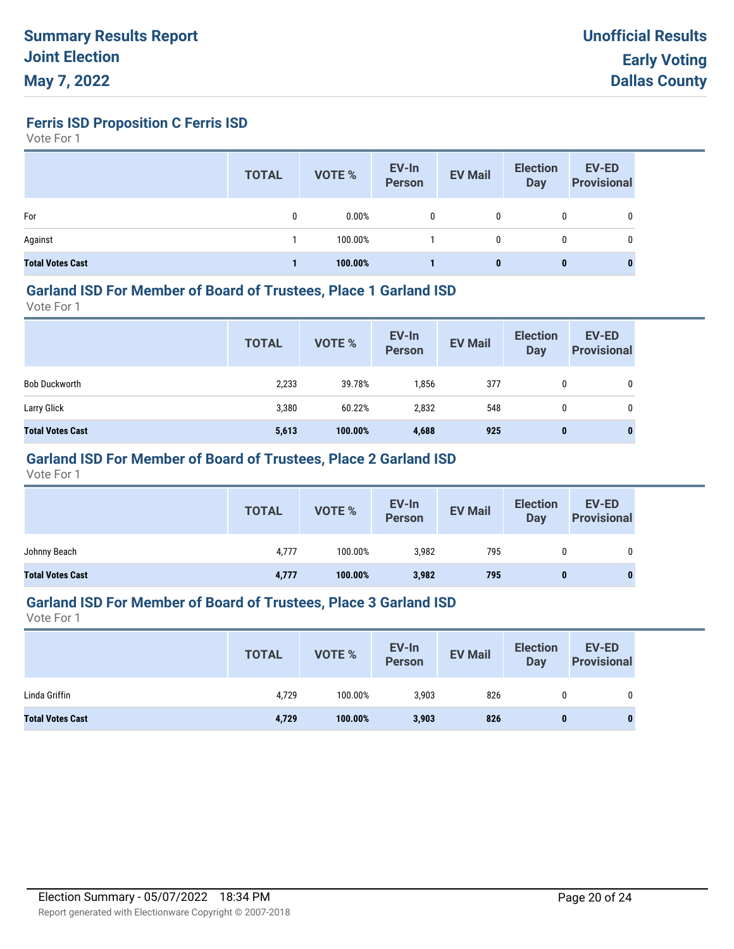**Ferris ISD Proposition C Ferris ISD**

Vote For 1

|                         | <b>TOTAL</b> | <b>VOTE %</b> | EV-In<br><b>Person</b> | <b>EV Mail</b> | <b>Election</b><br>Day | <b>EV-ED</b><br><b>Provisional</b> |
|-------------------------|--------------|---------------|------------------------|----------------|------------------------|------------------------------------|
| For                     | 0            | 0.00%         | 0                      | 0              | 0                      | 0                                  |
| Against                 |              | 100.00%       |                        | 0              | 0                      | 0                                  |
| <b>Total Votes Cast</b> |              | 100.00%       |                        | 0              | 0                      |                                    |

#### **Garland ISD For Member of Board of Trustees, Place 1 Garland ISD**

Vote For 1

|                         | <b>TOTAL</b> | VOTE %  | EV-In<br>Person | <b>EV Mail</b> | <b>Election</b><br><b>Day</b> | <b>EV-ED</b><br><b>Provisional</b> |
|-------------------------|--------------|---------|-----------------|----------------|-------------------------------|------------------------------------|
| <b>Bob Duckworth</b>    | 2,233        | 39.78%  | 1,856           | 377            | 0                             | 0                                  |
| Larry Glick             | 3,380        | 60.22%  | 2,832           | 548            | 0                             | 0                                  |
| <b>Total Votes Cast</b> | 5,613        | 100.00% | 4,688           | 925            | $\bf{0}$                      | $\mathbf{0}$                       |

## **Garland ISD For Member of Board of Trustees, Place 2 Garland ISD**

Vote For 1

|                         | <b>TOTAL</b> | VOTE %  | EV-In<br>Person | <b>EV Mail</b> | <b>Election</b><br>Day | <b>EV-ED</b><br><b>Provisional</b> |
|-------------------------|--------------|---------|-----------------|----------------|------------------------|------------------------------------|
| Johnny Beach            | 4,777        | 100.00% | 3,982           | 795            |                        |                                    |
| <b>Total Votes Cast</b> | 4,777        | 100.00% | 3,982           | 795            |                        |                                    |

## **Garland ISD For Member of Board of Trustees, Place 3 Garland ISD**

|                         | <b>TOTAL</b> | VOTE %  | EV-In<br>Person | <b>EV Mail</b> | <b>Election</b><br>Day | <b>EV-ED</b><br><b>Provisional</b> |
|-------------------------|--------------|---------|-----------------|----------------|------------------------|------------------------------------|
| Linda Griffin           | 4,729        | 100.00% | 3.903           | 826            | 0                      | 0                                  |
| <b>Total Votes Cast</b> | 4,729        | 100.00% | 3,903           | 826            | 0                      | $\bf{0}$                           |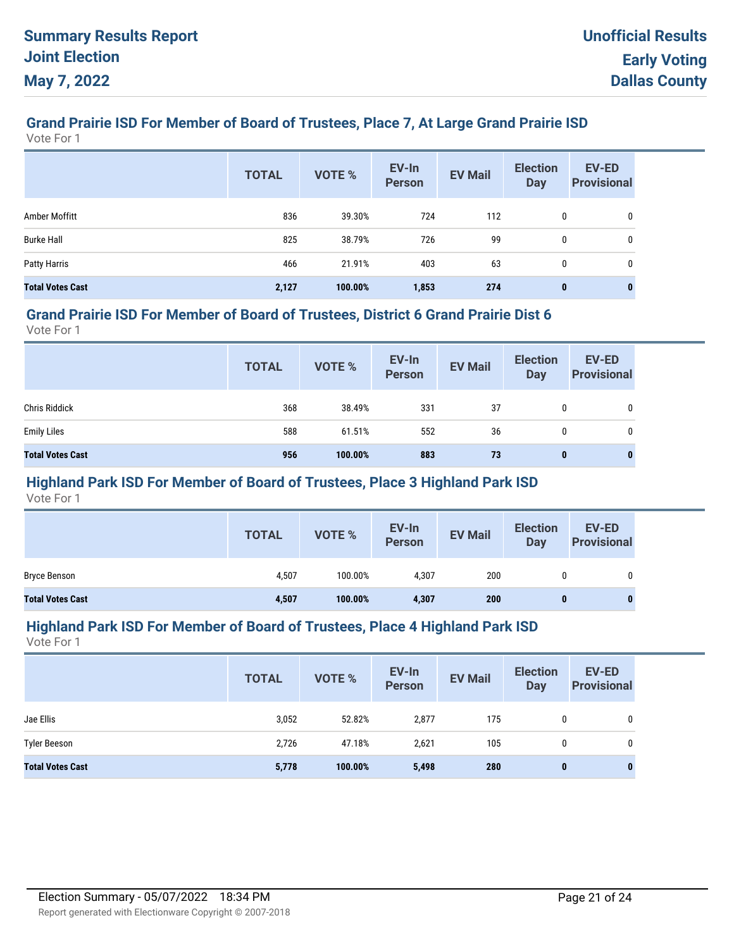# **Grand Prairie ISD For Member of Board of Trustees, Place 7, At Large Grand Prairie ISD**

Vote For 1

|                         | <b>TOTAL</b> | <b>VOTE %</b> | EV-In<br><b>Person</b> | <b>EV Mail</b> | <b>Election</b><br><b>Day</b> | <b>EV-ED</b><br><b>Provisional</b> |
|-------------------------|--------------|---------------|------------------------|----------------|-------------------------------|------------------------------------|
| Amber Moffitt           | 836          | 39.30%        | 724                    | 112            | 0                             | 0                                  |
| <b>Burke Hall</b>       | 825          | 38.79%        | 726                    | 99             | 0                             | 0                                  |
| Patty Harris            | 466          | 21.91%        | 403                    | 63             | 0                             | 0                                  |
| <b>Total Votes Cast</b> | 2,127        | 100.00%       | 1,853                  | 274            | $\bf{0}$                      | 0                                  |

#### **Grand Prairie ISD For Member of Board of Trustees, District 6 Grand Prairie Dist 6**

Vote For 1

|                         | <b>TOTAL</b> | VOTE %  | EV-In<br>Person | <b>EV Mail</b> | <b>Election</b><br>Day | <b>EV-ED</b><br><b>Provisional</b> |
|-------------------------|--------------|---------|-----------------|----------------|------------------------|------------------------------------|
| <b>Chris Riddick</b>    | 368          | 38.49%  | 331             | 37             | 0                      | 0                                  |
| <b>Emily Liles</b>      | 588          | 61.51%  | 552             | 36             | 0                      | $\mathbf{0}$                       |
| <b>Total Votes Cast</b> | 956          | 100.00% | 883             | 73             | 0                      | $\bf{0}$                           |

## **Highland Park ISD For Member of Board of Trustees, Place 3 Highland Park ISD**

Vote For 1

|                         | <b>TOTAL</b> | VOTE %  | EV-In<br>Person | <b>EV Mail</b> | <b>Election</b><br><b>Day</b> | <b>EV-ED</b><br><b>Provisional</b> |
|-------------------------|--------------|---------|-----------------|----------------|-------------------------------|------------------------------------|
| <b>Bryce Benson</b>     | 4,507        | 100.00% | 4,307           | 200            | 0                             | 0                                  |
| <b>Total Votes Cast</b> | 4,507        | 100.00% | 4,307           | 200            | 0                             |                                    |

#### **Highland Park ISD For Member of Board of Trustees, Place 4 Highland Park ISD**

|                         | <b>TOTAL</b> | VOTE %  | EV-In<br>Person | <b>EV Mail</b> | <b>Election</b><br><b>Day</b> | <b>EV-ED</b><br><b>Provisional</b> |
|-------------------------|--------------|---------|-----------------|----------------|-------------------------------|------------------------------------|
| Jae Ellis               | 3,052        | 52.82%  | 2,877           | 175            | 0                             | 0                                  |
| <b>Tyler Beeson</b>     | 2,726        | 47.18%  | 2,621           | 105            | 0                             | 0                                  |
| <b>Total Votes Cast</b> | 5,778        | 100.00% | 5,498           | 280            | 0                             | $\bf{0}$                           |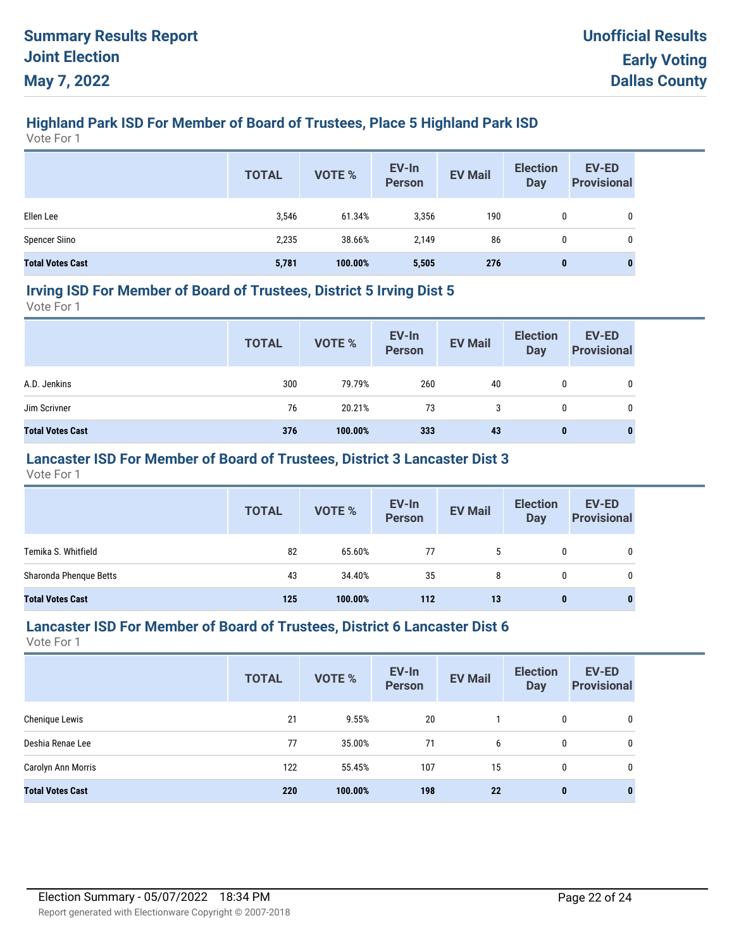# **Highland Park ISD For Member of Board of Trustees, Place 5 Highland Park ISD**

Vote For 1

|                         | <b>TOTAL</b> | VOTE %  | EV-In<br>Person | <b>EV Mail</b> | <b>Election</b><br><b>Day</b> | <b>EV-ED</b><br><b>Provisional</b> |
|-------------------------|--------------|---------|-----------------|----------------|-------------------------------|------------------------------------|
| Ellen Lee               | 3,546        | 61.34%  | 3,356           | 190            | 0                             | 0                                  |
| <b>Spencer Siino</b>    | 2,235        | 38.66%  | 2.149           | 86             | 0                             | 0                                  |
| <b>Total Votes Cast</b> | 5,781        | 100.00% | 5,505           | 276            | $\bf{0}$                      | U                                  |

#### **Irving ISD For Member of Board of Trustees, District 5 Irving Dist 5**

Vote For 1

|                         | <b>TOTAL</b> | VOTE %  | EV-In<br>Person | <b>EV Mail</b> | <b>Election</b><br>Day | EV-ED<br><b>Provisional</b> |
|-------------------------|--------------|---------|-----------------|----------------|------------------------|-----------------------------|
| A.D. Jenkins            | 300          | 79.79%  | 260             | 40             | 0                      | 0                           |
| Jim Scrivner            | 76           | 20.21%  | 73              | 3              | 0                      | 0                           |
| <b>Total Votes Cast</b> | 376          | 100.00% | 333             | 43             | $\mathbf 0$            | 0                           |

## **Lancaster ISD For Member of Board of Trustees, District 3 Lancaster Dist 3**

Vote For 1

|                         | <b>TOTAL</b> | VOTE %  | EV-In<br>Person | <b>EV Mail</b> | <b>Election</b><br>Day | <b>EV-ED</b><br><b>Provisional</b> |
|-------------------------|--------------|---------|-----------------|----------------|------------------------|------------------------------------|
| Temika S. Whitfield     | 82           | 65.60%  | 77              | -5             | 0                      | 0                                  |
| Sharonda Phenque Betts  | 43           | 34.40%  | 35              | 8              | 0                      | 0                                  |
| <b>Total Votes Cast</b> | 125          | 100.00% | 112             | 13             | 0                      | 0                                  |

#### **Lancaster ISD For Member of Board of Trustees, District 6 Lancaster Dist 6**

|                         | <b>TOTAL</b> | VOTE %  | EV-In<br><b>Person</b> | <b>EV Mail</b> | <b>Election</b><br><b>Day</b> | <b>EV-ED</b><br><b>Provisional</b> |
|-------------------------|--------------|---------|------------------------|----------------|-------------------------------|------------------------------------|
| Chenique Lewis          | 21           | 9.55%   | 20                     |                | $\mathbf{0}$                  | 0                                  |
| Deshia Renae Lee        | 77           | 35.00%  | 71                     | 6              | $\mathbf{0}$                  | 0                                  |
| Carolyn Ann Morris      | 122          | 55.45%  | 107                    | 15             | $\mathbf{0}$                  | 0                                  |
| <b>Total Votes Cast</b> | 220          | 100.00% | 198                    | 22             | $\mathbf{0}$                  | 0                                  |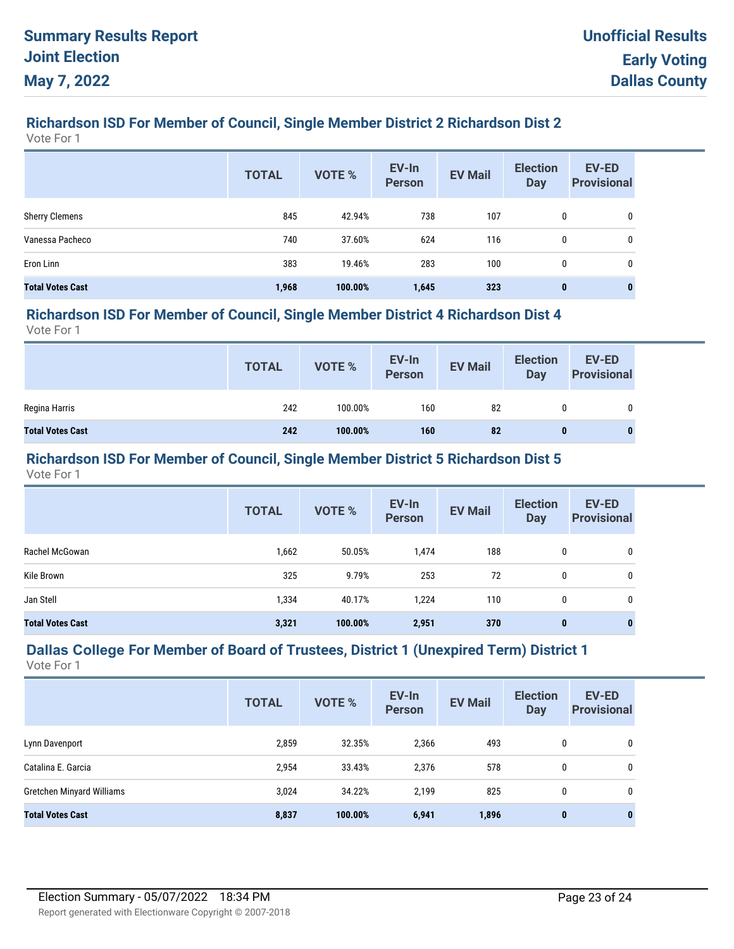# **Richardson ISD For Member of Council, Single Member District 2 Richardson Dist 2**

Vote For 1

|                         | <b>TOTAL</b> | <b>VOTE %</b> | EV-In<br><b>Person</b> | <b>EV Mail</b> | <b>Election</b><br><b>Day</b> | <b>EV-ED</b><br><b>Provisional</b> |
|-------------------------|--------------|---------------|------------------------|----------------|-------------------------------|------------------------------------|
| <b>Sherry Clemens</b>   | 845          | 42.94%        | 738                    | 107            | 0                             | 0                                  |
| Vanessa Pacheco         | 740          | 37.60%        | 624                    | 116            | 0                             | 0                                  |
| Eron Linn               | 383          | 19.46%        | 283                    | 100            | 0                             | 0                                  |
| <b>Total Votes Cast</b> | 1,968        | 100.00%       | 1,645                  | 323            | $\mathbf 0$                   |                                    |

#### **Richardson ISD For Member of Council, Single Member District 4 Richardson Dist 4**

Vote For 1

|                         | <b>TOTAL</b> | <b>VOTE %</b> | EV-In<br>Person | <b>EV Mail</b> | <b>Election</b><br>Day | <b>EV-ED</b><br><b>Provisional</b> |
|-------------------------|--------------|---------------|-----------------|----------------|------------------------|------------------------------------|
| Regina Harris           | 242          | 100.00%       | 160             | 82             |                        | 0                                  |
| <b>Total Votes Cast</b> | 242          | 100.00%       | 160             | 82             | $\bf{0}$               |                                    |

#### **Richardson ISD For Member of Council, Single Member District 5 Richardson Dist 5**

Vote For 1

|                         | <b>TOTAL</b> | VOTE %  | EV-In<br><b>Person</b> | <b>EV Mail</b> | <b>Election</b><br>Day | <b>EV-ED</b><br><b>Provisional</b> |
|-------------------------|--------------|---------|------------------------|----------------|------------------------|------------------------------------|
| Rachel McGowan          | 1,662        | 50.05%  | 1,474                  | 188            | 0                      | 0                                  |
| Kile Brown              | 325          | 9.79%   | 253                    | 72             | 0                      | 0                                  |
| Jan Stell               | 1,334        | 40.17%  | 1,224                  | 110            | 0                      | 0                                  |
| <b>Total Votes Cast</b> | 3,321        | 100.00% | 2,951                  | 370            | 0                      | $\bf{0}$                           |

# **Dallas College For Member of Board of Trustees, District 1 (Unexpired Term) District 1**

|                                  | <b>TOTAL</b> | <b>VOTE %</b> | EV-In<br><b>Person</b> | <b>EV Mail</b> | <b>Election</b><br><b>Day</b> | <b>EV-ED</b><br><b>Provisional</b> |
|----------------------------------|--------------|---------------|------------------------|----------------|-------------------------------|------------------------------------|
| Lynn Davenport                   | 2,859        | 32.35%        | 2,366                  | 493            | 0                             | 0                                  |
| Catalina E. Garcia               | 2,954        | 33.43%        | 2,376                  | 578            | 0                             | 0                                  |
| <b>Gretchen Minyard Williams</b> | 3,024        | 34.22%        | 2,199                  | 825            | 0                             | 0                                  |
| <b>Total Votes Cast</b>          | 8,837        | 100.00%       | 6,941                  | 1,896          | $\mathbf{0}$                  | $\bf{0}$                           |